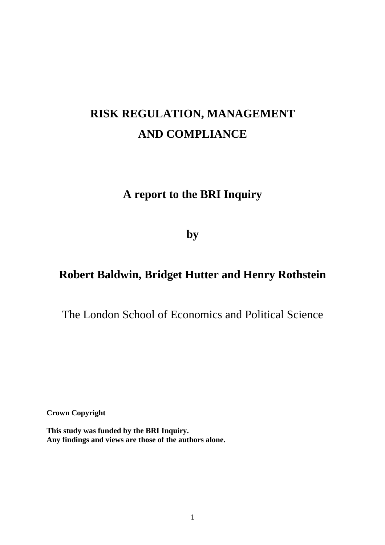# **RISK REGULATION, MANAGEMENT AND COMPLIANCE**

# **A report to the BRI Inquiry**

**by** 

# **Robert Baldwin, Bridget Hutter and Henry Rothstein**

# The London School of Economics and Political Science

**Crown Copyright** 

**This study was funded by the BRI Inquiry. Any findings and views are those of the authors alone.**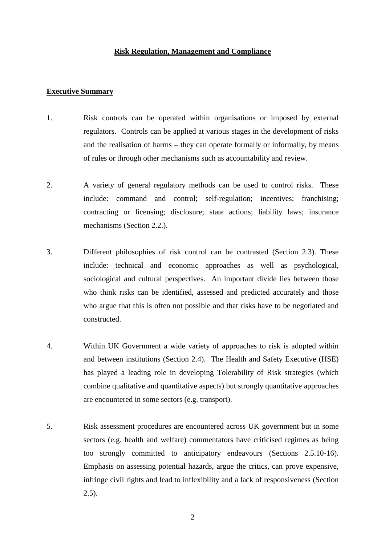#### **Risk Regulation, Management and Compliance**

#### **Executive Summary**

- 1. Risk controls can be operated within organisations or imposed by external regulators. Controls can be applied at various stages in the development of risks and the realisation of harms – they can operate formally or informally, by means of rules or through other mechanisms such as accountability and review.
- 2. A variety of general regulatory methods can be used to control risks. These include: command and control; self-regulation; incentives; franchising; contracting or licensing; disclosure; state actions; liability laws; insurance mechanisms (Section 2.2.).
- 3. Different philosophies of risk control can be contrasted (Section 2.3). These include: technical and economic approaches as well as psychological, sociological and cultural perspectives. An important divide lies between those who think risks can be identified, assessed and predicted accurately and those who argue that this is often not possible and that risks have to be negotiated and constructed.
- 4. Within UK Government a wide variety of approaches to risk is adopted within and between institutions (Section 2.4). The Health and Safety Executive (HSE) has played a leading role in developing Tolerability of Risk strategies (which combine qualitative and quantitative aspects) but strongly quantitative approaches are encountered in some sectors (e.g. transport).
- 5. Risk assessment procedures are encountered across UK government but in some sectors (e.g. health and welfare) commentators have criticised regimes as being too strongly committed to anticipatory endeavours (Sections 2.5.10-16). Emphasis on assessing potential hazards, argue the critics, can prove expensive, infringe civil rights and lead to inflexibility and a lack of responsiveness (Section  $2.5$ ).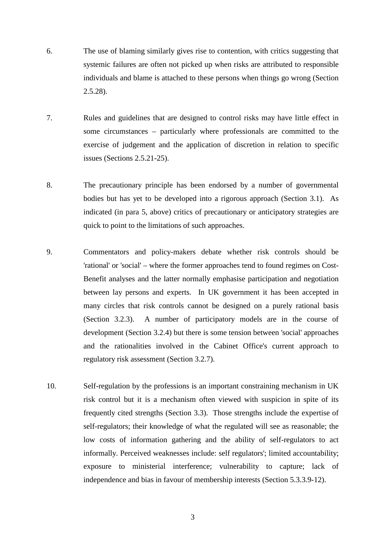- 6. The use of blaming similarly gives rise to contention, with critics suggesting that systemic failures are often not picked up when risks are attributed to responsible individuals and blame is attached to these persons when things go wrong (Section 2.5.28).
- 7. Rules and guidelines that are designed to control risks may have little effect in some circumstances – particularly where professionals are committed to the exercise of judgement and the application of discretion in relation to specific issues (Sections 2.5.21-25).
- 8. The precautionary principle has been endorsed by a number of governmental bodies but has yet to be developed into a rigorous approach (Section 3.1). As indicated (in para 5, above) critics of precautionary or anticipatory strategies are quick to point to the limitations of such approaches.
- 9. Commentators and policy-makers debate whether risk controls should be 'rational' or 'social' – where the former approaches tend to found regimes on Cost-Benefit analyses and the latter normally emphasise participation and negotiation between lay persons and experts. In UK government it has been accepted in many circles that risk controls cannot be designed on a purely rational basis (Section 3.2.3). A number of participatory models are in the course of development (Section 3.2.4) but there is some tension between 'social' approaches and the rationalities involved in the Cabinet Office's current approach to regulatory risk assessment (Section 3.2.7).
- 10. Self-regulation by the professions is an important constraining mechanism in UK risk control but it is a mechanism often viewed with suspicion in spite of its frequently cited strengths (Section 3.3). Those strengths include the expertise of self-regulators; their knowledge of what the regulated will see as reasonable; the low costs of information gathering and the ability of self-regulators to act informally. Perceived weaknesses include: self regulators'; limited accountability; exposure to ministerial interference; vulnerability to capture; lack of independence and bias in favour of membership interests (Section 5.3.3.9-12).

3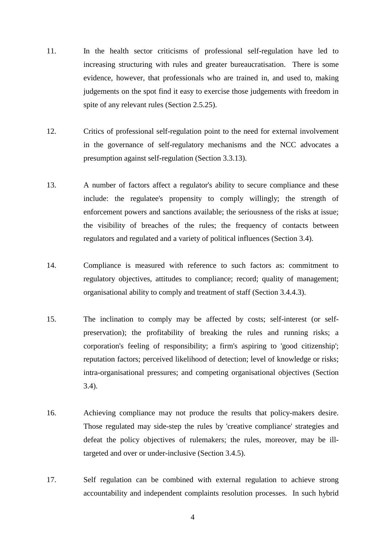- 11. In the health sector criticisms of professional self-regulation have led to increasing structuring with rules and greater bureaucratisation. There is some evidence, however, that professionals who are trained in, and used to, making judgements on the spot find it easy to exercise those judgements with freedom in spite of any relevant rules (Section 2.5.25).
- 12. Critics of professional self-regulation point to the need for external involvement in the governance of self-regulatory mechanisms and the NCC advocates a presumption against self-regulation (Section 3.3.13).
- 13. A number of factors affect a regulator's ability to secure compliance and these include: the regulatee's propensity to comply willingly; the strength of enforcement powers and sanctions available; the seriousness of the risks at issue; the visibility of breaches of the rules; the frequency of contacts between regulators and regulated and a variety of political influences (Section 3.4).
- 14. Compliance is measured with reference to such factors as: commitment to regulatory objectives, attitudes to compliance; record; quality of management; organisational ability to comply and treatment of staff (Section 3.4.4.3).
- 15. The inclination to comply may be affected by costs; self-interest (or selfpreservation); the profitability of breaking the rules and running risks; a corporation's feeling of responsibility; a firm's aspiring to 'good citizenship'; reputation factors; perceived likelihood of detection; level of knowledge or risks; intra-organisational pressures; and competing organisational objectives (Section 3.4).
- 16. Achieving compliance may not produce the results that policy-makers desire. Those regulated may side-step the rules by 'creative compliance' strategies and defeat the policy objectives of rulemakers; the rules, moreover, may be illtargeted and over or under-inclusive (Section 3.4.5).
- 17. Self regulation can be combined with external regulation to achieve strong accountability and independent complaints resolution processes. In such hybrid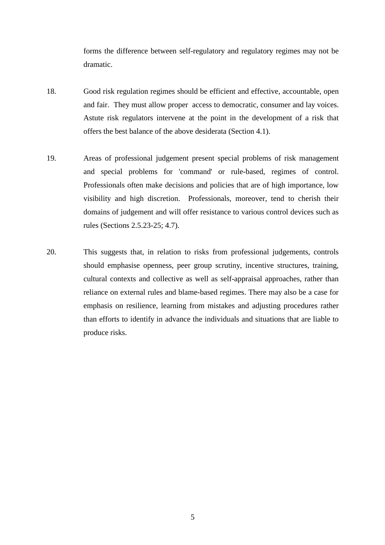forms the difference between self-regulatory and regulatory regimes may not be dramatic.

- 18. Good risk regulation regimes should be efficient and effective, accountable, open and fair. They must allow proper access to democratic, consumer and lay voices. Astute risk regulators intervene at the point in the development of a risk that offers the best balance of the above desiderata (Section 4.1).
- 19. Areas of professional judgement present special problems of risk management and special problems for 'command' or rule-based, regimes of control. Professionals often make decisions and policies that are of high importance, low visibility and high discretion. Professionals, moreover, tend to cherish their domains of judgement and will offer resistance to various control devices such as rules (Sections 2.5.23-25; 4.7).
- 20. This suggests that, in relation to risks from professional judgements, controls should emphasise openness, peer group scrutiny, incentive structures, training, cultural contexts and collective as well as self-appraisal approaches, rather than reliance on external rules and blame-based regimes. There may also be a case for emphasis on resilience, learning from mistakes and adjusting procedures rather than efforts to identify in advance the individuals and situations that are liable to produce risks.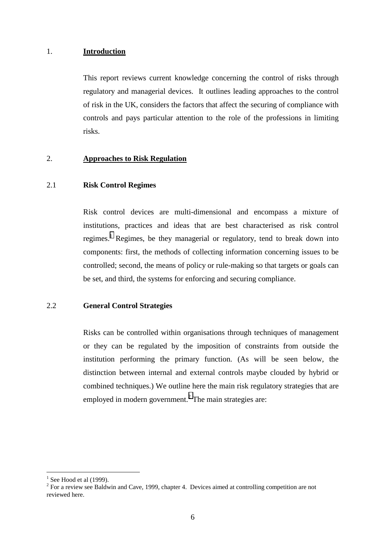#### 1. **Introduction**

This report reviews current knowledge concerning the control of risks through regulatory and managerial devices. It outlines leading approaches to the control of risk in the UK, considers the factors that affect the securing of compliance with controls and pays particular attention to the role of the professions in limiting risks.

#### 2. **Approaches to Risk Regulation**

# 2.1 **Risk Control Regimes**

Risk control devices are multi-dimensional and encompass a mixture of institutions, practices and ideas that are best characterised as risk control regimes.<sup>1</sup> Regimes, be they managerial or regulatory, tend to break down into components: first, the methods of collecting information concerning issues to be controlled; second, the means of policy or rule-making so that targets or goals can be set, and third, the systems for enforcing and securing compliance.

#### 2.2 **General Control Strategies**

Risks can be controlled within organisations through techniques of management or they can be regulated by the imposition of constraints from outside the institution performing the primary function. (As will be seen below, the distinction between internal and external controls maybe clouded by hybrid or combined techniques.) We outline here the main risk regulatory strategies that are employed in modern government.<sup>2</sup> The main strategies are:

<sup>1</sup> See Hood et al (1999).

 $2^{2}$  For a review see Baldwin and Cave, 1999, chapter 4. Devices aimed at controlling competition are not reviewed here.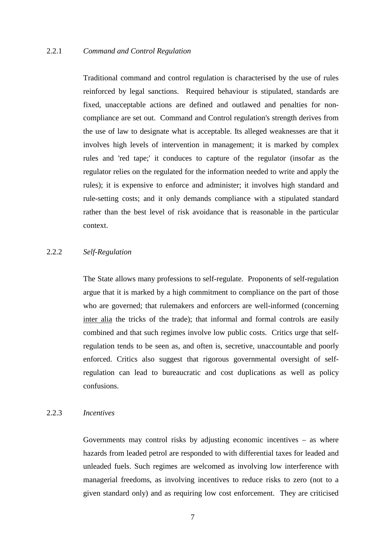#### 2.2.1 *Command and Control Regulation*

Traditional command and control regulation is characterised by the use of rules reinforced by legal sanctions. Required behaviour is stipulated, standards are fixed, unacceptable actions are defined and outlawed and penalties for noncompliance are set out. Command and Control regulation's strength derives from the use of law to designate what is acceptable. Its alleged weaknesses are that it involves high levels of intervention in management; it is marked by complex rules and 'red tape;' it conduces to capture of the regulator (insofar as the regulator relies on the regulated for the information needed to write and apply the rules); it is expensive to enforce and administer; it involves high standard and rule-setting costs; and it only demands compliance with a stipulated standard rather than the best level of risk avoidance that is reasonable in the particular context.

#### 2.2.2 *Self-Regulation*

The State allows many professions to self-regulate. Proponents of self-regulation argue that it is marked by a high commitment to compliance on the part of those who are governed; that rulemakers and enforcers are well-informed (concerning inter alia the tricks of the trade); that informal and formal controls are easily combined and that such regimes involve low public costs. Critics urge that selfregulation tends to be seen as, and often is, secretive, unaccountable and poorly enforced. Critics also suggest that rigorous governmental oversight of selfregulation can lead to bureaucratic and cost duplications as well as policy confusions.

#### 2.2.3 *Incentives*

Governments may control risks by adjusting economic incentives – as where hazards from leaded petrol are responded to with differential taxes for leaded and unleaded fuels. Such regimes are welcomed as involving low interference with managerial freedoms, as involving incentives to reduce risks to zero (not to a given standard only) and as requiring low cost enforcement. They are criticised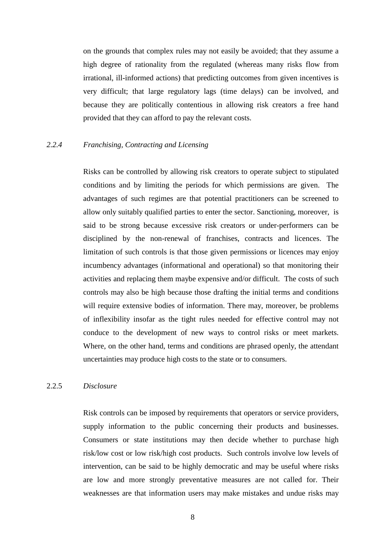on the grounds that complex rules may not easily be avoided; that they assume a high degree of rationality from the regulated (whereas many risks flow from irrational, ill-informed actions) that predicting outcomes from given incentives is very difficult; that large regulatory lags (time delays) can be involved, and because they are politically contentious in allowing risk creators a free hand provided that they can afford to pay the relevant costs.

# *2.2.4 Franchising, Contracting and Licensing*

Risks can be controlled by allowing risk creators to operate subject to stipulated conditions and by limiting the periods for which permissions are given. The advantages of such regimes are that potential practitioners can be screened to allow only suitably qualified parties to enter the sector. Sanctioning, moreover, is said to be strong because excessive risk creators or under-performers can be disciplined by the non-renewal of franchises, contracts and licences. The limitation of such controls is that those given permissions or licences may enjoy incumbency advantages (informational and operational) so that monitoring their activities and replacing them maybe expensive and/or difficult. The costs of such controls may also be high because those drafting the initial terms and conditions will require extensive bodies of information. There may, moreover, be problems of inflexibility insofar as the tight rules needed for effective control may not conduce to the development of new ways to control risks or meet markets. Where, on the other hand, terms and conditions are phrased openly, the attendant uncertainties may produce high costs to the state or to consumers.

## 2.2.5 *Disclosure*

Risk controls can be imposed by requirements that operators or service providers, supply information to the public concerning their products and businesses. Consumers or state institutions may then decide whether to purchase high risk/low cost or low risk/high cost products. Such controls involve low levels of intervention, can be said to be highly democratic and may be useful where risks are low and more strongly preventative measures are not called for. Their weaknesses are that information users may make mistakes and undue risks may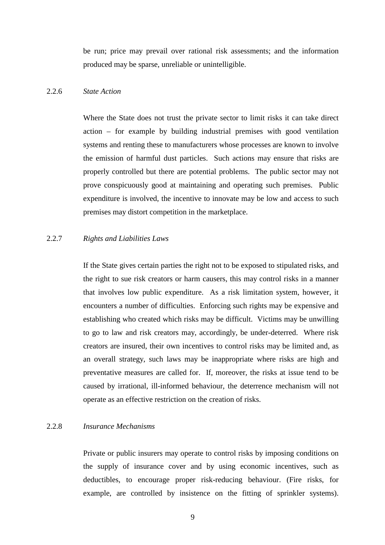be run; price may prevail over rational risk assessments; and the information produced may be sparse, unreliable or unintelligible.

# 2.2.6 *State Action*

Where the State does not trust the private sector to limit risks it can take direct action – for example by building industrial premises with good ventilation systems and renting these to manufacturers whose processes are known to involve the emission of harmful dust particles. Such actions may ensure that risks are properly controlled but there are potential problems. The public sector may not prove conspicuously good at maintaining and operating such premises. Public expenditure is involved, the incentive to innovate may be low and access to such premises may distort competition in the marketplace.

# 2.2.7 *Rights and Liabilities Laws*

If the State gives certain parties the right not to be exposed to stipulated risks, and the right to sue risk creators or harm causers, this may control risks in a manner that involves low public expenditure. As a risk limitation system, however, it encounters a number of difficulties. Enforcing such rights may be expensive and establishing who created which risks may be difficult. Victims may be unwilling to go to law and risk creators may, accordingly, be under-deterred. Where risk creators are insured, their own incentives to control risks may be limited and, as an overall strategy, such laws may be inappropriate where risks are high and preventative measures are called for. If, moreover, the risks at issue tend to be caused by irrational, ill-informed behaviour, the deterrence mechanism will not operate as an effective restriction on the creation of risks.

# 2.2.8 *Insurance Mechanisms*

Private or public insurers may operate to control risks by imposing conditions on the supply of insurance cover and by using economic incentives, such as deductibles, to encourage proper risk-reducing behaviour. (Fire risks, for example, are controlled by insistence on the fitting of sprinkler systems).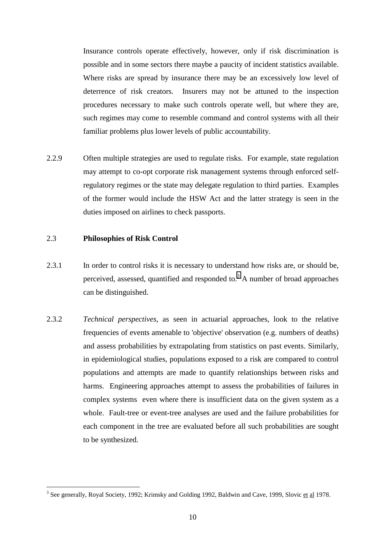Insurance controls operate effectively, however, only if risk discrimination is possible and in some sectors there maybe a paucity of incident statistics available. Where risks are spread by insurance there may be an excessively low level of deterrence of risk creators. Insurers may not be attuned to the inspection procedures necessary to make such controls operate well, but where they are, such regimes may come to resemble command and control systems with all their familiar problems plus lower levels of public accountability.

2.2.9 Often multiple strategies are used to regulate risks. For example, state regulation may attempt to co-opt corporate risk management systems through enforced selfregulatory regimes or the state may delegate regulation to third parties. Examples of the former would include the HSW Act and the latter strategy is seen in the duties imposed on airlines to check passports.

#### 2.3 **Philosophies of Risk Control**

- 2.3.1 In order to control risks it is necessary to understand how risks are, or should be, perceived, assessed, quantified and responded to.<sup>3</sup> A number of broad approaches can be distinguished.
- 2.3.2 *Technical perspectives*, as seen in actuarial approaches, look to the relative frequencies of events amenable to 'objective' observation (e.g. numbers of deaths) and assess probabilities by extrapolating from statistics on past events. Similarly, in epidemiological studies, populations exposed to a risk are compared to control populations and attempts are made to quantify relationships between risks and harms. Engineering approaches attempt to assess the probabilities of failures in complex systems even where there is insufficient data on the given system as a whole. Fault-tree or event-tree analyses are used and the failure probabilities for each component in the tree are evaluated before all such probabilities are sought to be synthesized.

<sup>&</sup>lt;sup>3</sup> See generally, Royal Society, 1992; Krimsky and Golding 1992, Baldwin and Cave, 1999, Slovic et al 1978.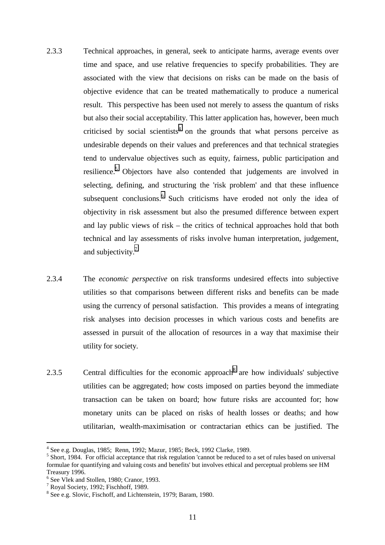- 2.3.3 Technical approaches, in general, seek to anticipate harms, average events over time and space, and use relative frequencies to specify probabilities. They are associated with the view that decisions on risks can be made on the basis of objective evidence that can be treated mathematically to produce a numerical result. This perspective has been used not merely to assess the quantum of risks but also their social acceptability. This latter application has, however, been much criticised by social scientists<sup>4</sup> on the grounds that what persons perceive as undesirable depends on their values and preferences and that technical strategies tend to undervalue objectives such as equity, fairness, public participation and resilience.<sup>5</sup> Objectors have also contended that judgements are involved in selecting, defining, and structuring the 'risk problem' and that these influence subsequent conclusions.<sup>6</sup> Such criticisms have eroded not only the idea of objectivity in risk assessment but also the presumed difference between expert and lay public views of risk – the critics of technical approaches hold that both technical and lay assessments of risks involve human interpretation, judgement, and subjectivity. $7$
- 2.3.4 The *economic perspective* on risk transforms undesired effects into subjective utilities so that comparisons between different risks and benefits can be made using the currency of personal satisfaction. This provides a means of integrating risk analyses into decision processes in which various costs and benefits are assessed in pursuit of the allocation of resources in a way that maximise their utility for society.
- 2.3.5 Central difficulties for the economic approach  $\delta$  are how individuals' subjective utilities can be aggregated; how costs imposed on parties beyond the immediate transaction can be taken on board; how future risks are accounted for; how monetary units can be placed on risks of health losses or deaths; and how utilitarian, wealth-maximisation or contractarian ethics can be justified. The

<sup>4</sup> See e.g. Douglas, 1985; Renn, 1992; Mazur, 1985; Beck, 1992 Clarke, 1989.

<sup>&</sup>lt;sup>5</sup> Short, 1984. For official acceptance that risk regulation 'cannot be reduced to a set of rules based on universal formulae for quantifying and valuing costs and benefits' but involves ethical and perceptual problems see HM Treasury 1996.

<sup>6</sup> See Vlek and Stollen, 1980; Cranor, 1993.

<sup>&</sup>lt;sup>7</sup> Royal Society, 1992; Fischhoff, 1989.

<sup>&</sup>lt;sup>8</sup> See e.g. Slovic, Fischoff, and Lichtenstein, 1979; Baram, 1980.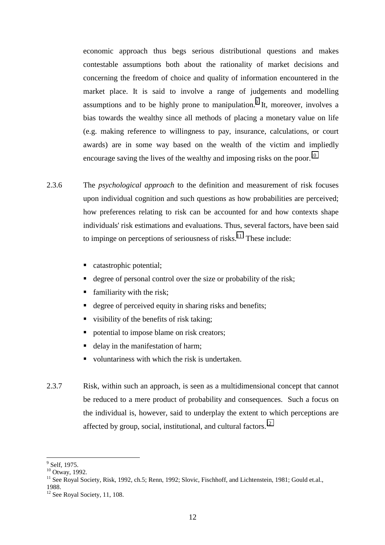economic approach thus begs serious distributional questions and makes contestable assumptions both about the rationality of market decisions and concerning the freedom of choice and quality of information encountered in the market place. It is said to involve a range of judgements and modelling assumptions and to be highly prone to manipulation.<sup>9</sup> It, moreover, involves a bias towards the wealthy since all methods of placing a monetary value on life (e.g. making reference to willingness to pay, insurance, calculations, or court awards) are in some way based on the wealth of the victim and impliedly encourage saving the lives of the wealthy and imposing risks on the poor.<sup>10</sup>

- 2.3.6 The *psychological approach* to the definition and measurement of risk focuses upon individual cognition and such questions as how probabilities are perceived; how preferences relating to risk can be accounted for and how contexts shape individuals' risk estimations and evaluations. Thus, several factors, have been said to impinge on perceptions of seriousness of risks.<sup>11</sup> These include:
	- catastrophic potential;
	- degree of personal control over the size or probability of the risk;
	- **familiarity with the risk;**
	- **degree of perceived equity in sharing risks and benefits;**
	- visibility of the benefits of risk taking;
	- potential to impose blame on risk creators;
	- delay in the manifestation of harm;
	- voluntariness with which the risk is undertaken.
- 2.3.7 Risk, within such an approach, is seen as a multidimensional concept that cannot be reduced to a mere product of probability and consequences. Such a focus on the individual is, however, said to underplay the extent to which perceptions are affected by group, social, institutional, and cultural factors.<sup>12</sup>

 $\overline{a}$ <sup>9</sup> Self, 1975.

 $^{10}$  Otway, 1992.

<sup>&</sup>lt;sup>11</sup> See Royal Society, Risk, 1992, ch.5; Renn, 1992; Slovic, Fischhoff, and Lichtenstein, 1981; Gould et.al., 1988.

 $12$  See Royal Society, 11, 108.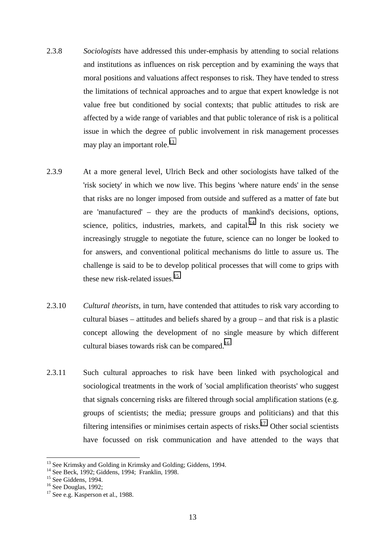- 2.3.8 *Sociologists* have addressed this under-emphasis by attending to social relations and institutions as influences on risk perception and by examining the ways that moral positions and valuations affect responses to risk. They have tended to stress the limitations of technical approaches and to argue that expert knowledge is not value free but conditioned by social contexts; that public attitudes to risk are affected by a wide range of variables and that public tolerance of risk is a political issue in which the degree of public involvement in risk management processes may play an important role. $^{13}$
- 2.3.9 At a more general level, Ulrich Beck and other sociologists have talked of the 'risk society' in which we now live. This begins 'where nature ends' in the sense that risks are no longer imposed from outside and suffered as a matter of fate but are 'manufactured' – they are the products of mankind's decisions, options, science, politics, industries, markets, and capital.<sup>14</sup> In this risk society we increasingly struggle to negotiate the future, science can no longer be looked to for answers, and conventional political mechanisms do little to assure us. The challenge is said to be to develop political processes that will come to grips with these new risk-related issues.<sup>15</sup>
- 2.3.10 *Cultural theorists*, in turn, have contended that attitudes to risk vary according to cultural biases – attitudes and beliefs shared by a group – and that risk is a plastic concept allowing the development of no single measure by which different cultural biases towards risk can be compared.<sup>16</sup>
- 2.3.11 Such cultural approaches to risk have been linked with psychological and sociological treatments in the work of 'social amplification theorists' who suggest that signals concerning risks are filtered through social amplification stations (e.g. groups of scientists; the media; pressure groups and politicians) and that this filtering intensifies or minimises certain aspects of risks.<sup>17</sup> Other social scientists have focussed on risk communication and have attended to the ways that

<sup>&</sup>lt;sup>13</sup> See Krimsky and Golding in Krimsky and Golding; Giddens, 1994.

<sup>&</sup>lt;sup>14</sup> See Beck, 1992; Giddens, 1994; Franklin, 1998.

 $15$  See Giddens, 1994.

 $16$  See Douglas, 1992;

 $17$  See e.g. Kasperson et al., 1988.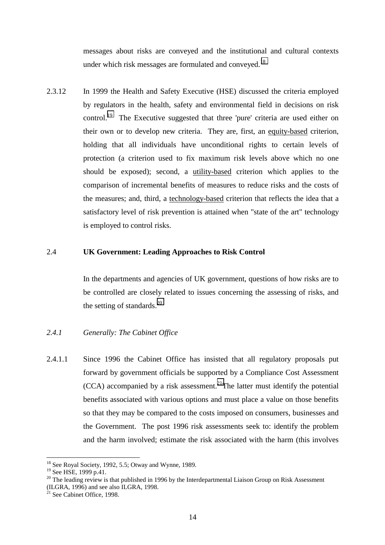messages about risks are conveyed and the institutional and cultural contexts under which risk messages are formulated and conveyed.<sup>18</sup>

2.3.12 In 1999 the Health and Safety Executive (HSE) discussed the criteria employed by regulators in the health, safety and environmental field in decisions on risk control.<sup>19</sup> The Executive suggested that three 'pure' criteria are used either on their own or to develop new criteria. They are, first, an equity-based criterion, holding that all individuals have unconditional rights to certain levels of protection (a criterion used to fix maximum risk levels above which no one should be exposed); second, a utility-based criterion which applies to the comparison of incremental benefits of measures to reduce risks and the costs of the measures; and, third, a technology-based criterion that reflects the idea that a satisfactory level of risk prevention is attained when "state of the art" technology is employed to control risks.

#### 2.4 **UK Government: Leading Approaches to Risk Control**

 In the departments and agencies of UK government, questions of how risks are to be controlled are closely related to issues concerning the assessing of risks, and the setting of standards.<sup>20</sup>

# *2.4.1 Generally: The Cabinet Office*

2.4.1.1 Since 1996 the Cabinet Office has insisted that all regulatory proposals put forward by government officials be supported by a Compliance Cost Assessment  $(CCA)$  accompanied by a risk assessment.<sup>21</sup>The latter must identify the potential benefits associated with various options and must place a value on those benefits so that they may be compared to the costs imposed on consumers, businesses and the Government. The post 1996 risk assessments seek to: identify the problem and the harm involved; estimate the risk associated with the harm (this involves

 $18$  See Royal Society, 1992, 5.5; Otway and Wynne, 1989.

<sup>&</sup>lt;sup>19</sup> See HSE, 1999 p.41.

<sup>&</sup>lt;sup>20</sup> The leading review is that published in 1996 by the Interdepartmental Liaison Group on Risk Assessment

<sup>(</sup>ILGRA, 1996) and see also ILGRA, 1998.

 $^{21}$  See Cabinet Office, 1998.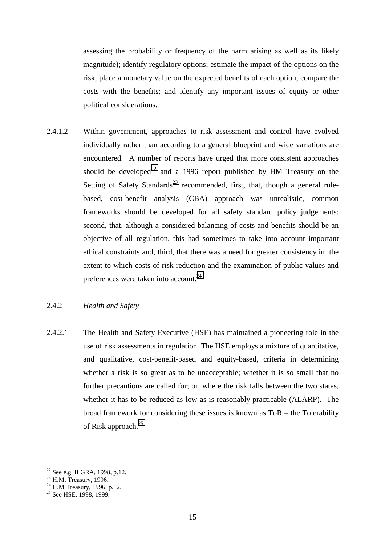assessing the probability or frequency of the harm arising as well as its likely magnitude); identify regulatory options; estimate the impact of the options on the risk; place a monetary value on the expected benefits of each option; compare the costs with the benefits; and identify any important issues of equity or other political considerations.

2.4.1.2 Within government, approaches to risk assessment and control have evolved individually rather than according to a general blueprint and wide variations are encountered. A number of reports have urged that more consistent approaches should be developed<sup>22</sup> and a 1996 report published by HM Treasury on the Setting of Safety Standards<sup>23</sup> recommended, first, that, though a general rulebased, cost-benefit analysis (CBA) approach was unrealistic, common frameworks should be developed for all safety standard policy judgements: second, that, although a considered balancing of costs and benefits should be an objective of all regulation, this had sometimes to take into account important ethical constraints and, third, that there was a need for greater consistency in the extent to which costs of risk reduction and the examination of public values and preferences were taken into account.24

# 2.4.2 *Health and Safety*

2.4.2.1 The Health and Safety Executive (HSE) has maintained a pioneering role in the use of risk assessments in regulation. The HSE employs a mixture of quantitative, and qualitative, cost-benefit-based and equity-based, criteria in determining whether a risk is so great as to be unacceptable; whether it is so small that no further precautions are called for; or, where the risk falls between the two states, whether it has to be reduced as low as is reasonably practicable (ALARP). The broad framework for considering these issues is known as ToR – the Tolerability of Risk approach.<sup>25</sup>

 $22$  See e.g. ILGRA, 1998, p.12.

 $23$  H.M. Treasury, 1996.

 $^{24}$  H.M Treasury, 1996, p.12.

<sup>&</sup>lt;sup>25</sup> See HSE, 1998, 1999.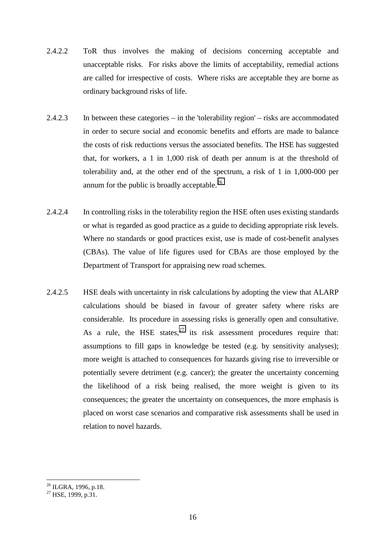- 2.4.2.2 ToR thus involves the making of decisions concerning acceptable and unacceptable risks. For risks above the limits of acceptability, remedial actions are called for irrespective of costs. Where risks are acceptable they are borne as ordinary background risks of life.
- 2.4.2.3 In between these categories in the 'tolerability region' risks are accommodated in order to secure social and economic benefits and efforts are made to balance the costs of risk reductions versus the associated benefits. The HSE has suggested that, for workers, a 1 in 1,000 risk of death per annum is at the threshold of tolerability and, at the other end of the spectrum, a risk of 1 in 1,000-000 per annum for the public is broadly acceptable.<sup>26</sup>
- 2.4.2.4 In controlling risks in the tolerability region the HSE often uses existing standards or what is regarded as good practice as a guide to deciding appropriate risk levels. Where no standards or good practices exist, use is made of cost-benefit analyses (CBAs). The value of life figures used for CBAs are those employed by the Department of Transport for appraising new road schemes.
- 2.4.2.5 HSE deals with uncertainty in risk calculations by adopting the view that ALARP calculations should be biased in favour of greater safety where risks are considerable. Its procedure in assessing risks is generally open and consultative. As a rule, the HSE states,  $27$  its risk assessment procedures require that: assumptions to fill gaps in knowledge be tested (e.g. by sensitivity analyses); more weight is attached to consequences for hazards giving rise to irreversible or potentially severe detriment (e.g. cancer); the greater the uncertainty concerning the likelihood of a risk being realised, the more weight is given to its consequences; the greater the uncertainty on consequences, the more emphasis is placed on worst case scenarios and comparative risk assessments shall be used in relation to novel hazards.

 $\overline{a}$  $^{26}$  ILGRA, 1996, p.18.

 $^{27}$  HSE, 1999, p.31.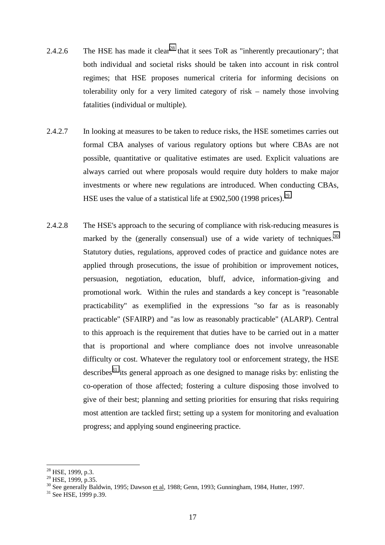- 2.4.2.6 The HSE has made it clear<sup>28</sup> that it sees ToR as "inherently precautionary"; that both individual and societal risks should be taken into account in risk control regimes; that HSE proposes numerical criteria for informing decisions on tolerability only for a very limited category of risk – namely those involving fatalities (individual or multiple).
- 2.4.2.7 In looking at measures to be taken to reduce risks, the HSE sometimes carries out formal CBA analyses of various regulatory options but where CBAs are not possible, quantitative or qualitative estimates are used. Explicit valuations are always carried out where proposals would require duty holders to make major investments or where new regulations are introduced. When conducting CBAs, HSE uses the value of a statistical life at £902,500 (1998 prices).<sup>29</sup>
- 2.4.2.8 The HSE's approach to the securing of compliance with risk-reducing measures is marked by the (generally consensual) use of a wide variety of techniques.<sup>30</sup> Statutory duties, regulations, approved codes of practice and guidance notes are applied through prosecutions, the issue of prohibition or improvement notices, persuasion, negotiation, education, bluff, advice, information-giving and promotional work. Within the rules and standards a key concept is "reasonable practicability" as exemplified in the expressions "so far as is reasonably practicable" (SFAIRP) and "as low as reasonably practicable" (ALARP). Central to this approach is the requirement that duties have to be carried out in a matter that is proportional and where compliance does not involve unreasonable difficulty or cost. Whatever the regulatory tool or enforcement strategy, the HSE describes<sup>31</sup> its general approach as one designed to manage risks by: enlisting the co-operation of those affected; fostering a culture disposing those involved to give of their best; planning and setting priorities for ensuring that risks requiring most attention are tackled first; setting up a system for monitoring and evaluation progress; and applying sound engineering practice.

 $28$  HSE, 1999, p.3.

 $^{29}$  HSE, 1999, p.35.

 $\frac{30}{30}$  See generally Baldwin, 1995; Dawson <u>et al</u>, 1988; Genn, 1993; Gunningham, 1984, Hutter, 1997.<br><sup>31</sup> See HSE, 1999 p.39.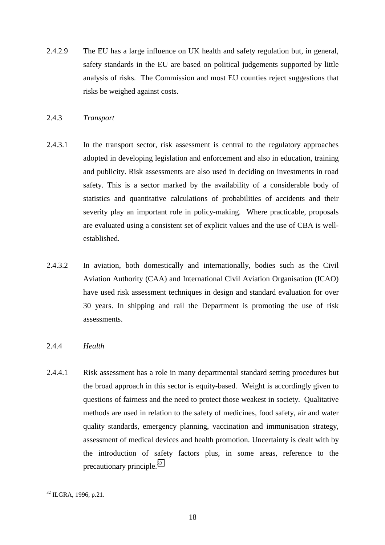2.4.2.9 The EU has a large influence on UK health and safety regulation but, in general, safety standards in the EU are based on political judgements supported by little analysis of risks. The Commission and most EU counties reject suggestions that risks be weighed against costs.

# 2.4.3 *Transport*

- 2.4.3.1 In the transport sector, risk assessment is central to the regulatory approaches adopted in developing legislation and enforcement and also in education, training and publicity. Risk assessments are also used in deciding on investments in road safety. This is a sector marked by the availability of a considerable body of statistics and quantitative calculations of probabilities of accidents and their severity play an important role in policy-making. Where practicable, proposals are evaluated using a consistent set of explicit values and the use of CBA is wellestablished.
- 2.4.3.2 In aviation, both domestically and internationally, bodies such as the Civil Aviation Authority (CAA) and International Civil Aviation Organisation (ICAO) have used risk assessment techniques in design and standard evaluation for over 30 years. In shipping and rail the Department is promoting the use of risk assessments.

# 2.4.4 *Health*

2.4.4.1 Risk assessment has a role in many departmental standard setting procedures but the broad approach in this sector is equity-based. Weight is accordingly given to questions of fairness and the need to protect those weakest in society. Qualitative methods are used in relation to the safety of medicines, food safety, air and water quality standards, emergency planning, vaccination and immunisation strategy, assessment of medical devices and health promotion. Uncertainty is dealt with by the introduction of safety factors plus, in some areas, reference to the precautionary principle. $32$ 

 $\overline{a}$  $32$  ILGRA, 1996, p.21.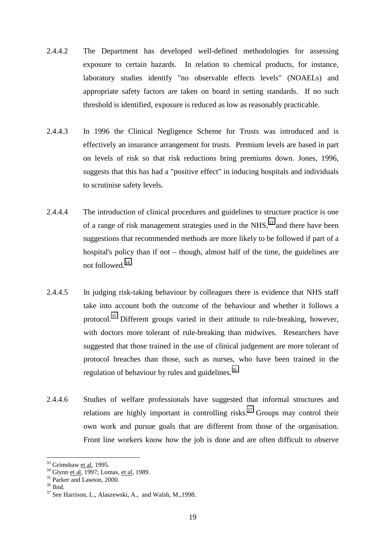- 2.4.4.2 The Department has developed well-defined methodologies for assessing exposure to certain hazards. In relation to chemical products, for instance, laboratory studies identify "no observable effects levels" (NOAELs) and appropriate safety factors are taken on board in setting standards. If no such threshold is identified, exposure is reduced as low as reasonably practicable.
- 2.4.4.3 In 1996 the Clinical Negligence Scheme for Trusts was introduced and is effectively an insurance arrangement for trusts. Premium levels are based in part on levels of risk so that risk reductions bring premiums down. Jones, 1996, suggests that this has had a "positive effect" in inducing hospitals and individuals to scrutinise safety levels.
- 2.4.4.4 The introduction of clinical procedures and guidelines to structure practice is one of a range of risk management strategies used in the NHS.<sup>33</sup> and there have been suggestions that recommended methods are more likely to be followed if part of a hospital's policy than if not – though, almost half of the time, the guidelines are not followed.34
- 2.4.4.5 In judging risk-taking behaviour by colleagues there is evidence that NHS staff take into account both the outcome of the behaviour and whether it follows a protocol.<sup>35</sup> Different groups varied in their attitude to rule-breaking, however, with doctors more tolerant of rule-breaking than midwives. Researchers have suggested that those trained in the use of clinical judgement are more tolerant of protocol breaches than those, such as nurses, who have been trained in the regulation of behaviour by rules and guidelines.<sup>36</sup>
- 2.4.4.6 Studies of welfare professionals have suggested that informal structures and relations are highly important in controlling risks.<sup>37</sup> Groups may control their own work and pursue goals that are different from those of the organisation. Front line workers know how the job is done and are often difficult to observe

<sup>&</sup>lt;sup>33</sup> Grimshaw <u>et al</u>, 1995.<br><sup>34</sup> Glynn <u>et al</u>, 1997; Lomas, <u>et al</u>, 1989.<br><sup>35</sup> Parker and Lawton, 2000.

<sup>36</sup> Ibid.

<sup>37</sup> See Harrison, L., Alaszewski, A., and Walsh, M.,1998.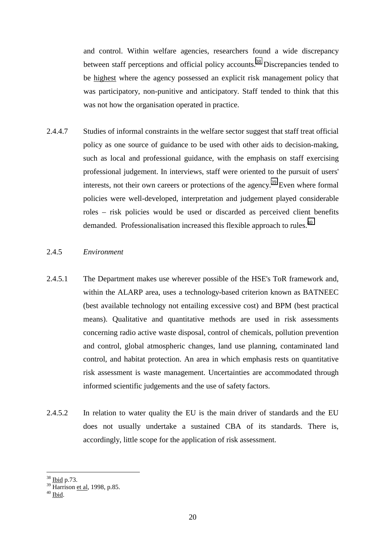and control. Within welfare agencies, researchers found a wide discrepancy between staff perceptions and official policy accounts.<sup>38</sup> Discrepancies tended to be highest where the agency possessed an explicit risk management policy that was participatory, non-punitive and anticipatory. Staff tended to think that this was not how the organisation operated in practice.

2.4.4.7 Studies of informal constraints in the welfare sector suggest that staff treat official policy as one source of guidance to be used with other aids to decision-making, such as local and professional guidance, with the emphasis on staff exercising professional judgement. In interviews, staff were oriented to the pursuit of users' interests, not their own careers or protections of the agency.<sup>39</sup> Even where formal policies were well-developed, interpretation and judgement played considerable roles – risk policies would be used or discarded as perceived client benefits demanded. Professionalisation increased this flexible approach to rules.<sup>40</sup>

#### 2.4.5 *Environment*

- 2.4.5.1 The Department makes use wherever possible of the HSE's ToR framework and, within the ALARP area, uses a technology-based criterion known as BATNEEC (best available technology not entailing excessive cost) and BPM (best practical means). Qualitative and quantitative methods are used in risk assessments concerning radio active waste disposal, control of chemicals, pollution prevention and control, global atmospheric changes, land use planning, contaminated land control, and habitat protection. An area in which emphasis rests on quantitative risk assessment is waste management. Uncertainties are accommodated through informed scientific judgements and the use of safety factors.
- 2.4.5.2 In relation to water quality the EU is the main driver of standards and the EU does not usually undertake a sustained CBA of its standards. There is, accordingly, little scope for the application of risk assessment.

 $\overline{a}$ <sup>38</sup> Ibid p.73.

<sup>&</sup>lt;sup>39</sup> Harrison <u>et al</u>, 1998, p.85.<br><sup>40</sup> <u>Ibid</u>.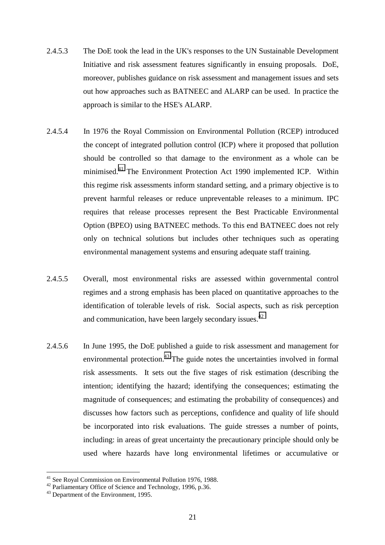- 2.4.5.3 The DoE took the lead in the UK's responses to the UN Sustainable Development Initiative and risk assessment features significantly in ensuing proposals. DoE, moreover, publishes guidance on risk assessment and management issues and sets out how approaches such as BATNEEC and ALARP can be used. In practice the approach is similar to the HSE's ALARP.
- 2.4.5.4 In 1976 the Royal Commission on Environmental Pollution (RCEP) introduced the concept of integrated pollution control (ICP) where it proposed that pollution should be controlled so that damage to the environment as a whole can be minimised.41 The Environment Protection Act 1990 implemented ICP. Within this regime risk assessments inform standard setting, and a primary objective is to prevent harmful releases or reduce unpreventable releases to a minimum. IPC requires that release processes represent the Best Practicable Environmental Option (BPEO) using BATNEEC methods. To this end BATNEEC does not rely only on technical solutions but includes other techniques such as operating environmental management systems and ensuring adequate staff training.
- 2.4.5.5 Overall, most environmental risks are assessed within governmental control regimes and a strong emphasis has been placed on quantitative approaches to the identification of tolerable levels of risk. Social aspects, such as risk perception and communication, have been largely secondary issues.<sup>42</sup>
- 2.4.5.6 In June 1995, the DoE published a guide to risk assessment and management for environmental protection.<sup>43</sup> The guide notes the uncertainties involved in formal risk assessments. It sets out the five stages of risk estimation (describing the intention; identifying the hazard; identifying the consequences; estimating the magnitude of consequences; and estimating the probability of consequences) and discusses how factors such as perceptions, confidence and quality of life should be incorporated into risk evaluations. The guide stresses a number of points, including: in areas of great uncertainty the precautionary principle should only be used where hazards have long environmental lifetimes or accumulative or

 $41$  See Royal Commission on Environmental Pollution 1976, 1988.

<sup>&</sup>lt;sup>42</sup> Parliamentary Office of Science and Technology, 1996, p.36.

 $43$  Department of the Environment, 1995.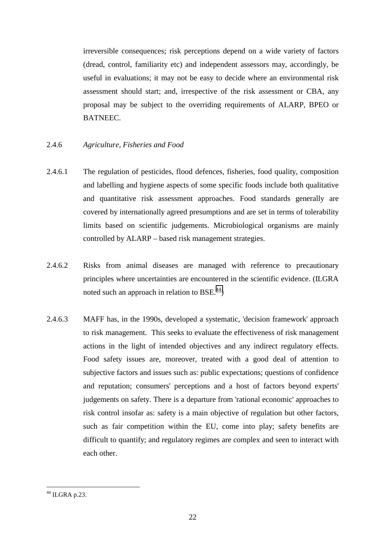irreversible consequences; risk perceptions depend on a wide variety of factors (dread, control, familiarity etc) and independent assessors may, accordingly, be useful in evaluations; it may not be easy to decide where an environmental risk assessment should start; and, irrespective of the risk assessment or CBA, any proposal may be subject to the overriding requirements of ALARP, BPEO or BATNEEC.

# 2.4.6 *Agriculture, Fisheries and Food*

- 2.4.6.1 The regulation of pesticides, flood defences, fisheries, food quality, composition and labelling and hygiene aspects of some specific foods include both qualitative and quantitative risk assessment approaches. Food standards generally are covered by internationally agreed presumptions and are set in terms of tolerability limits based on scientific judgements. Microbiological organisms are mainly controlled by ALARP – based risk management strategies.
- 2.4.6.2 Risks from animal diseases are managed with reference to precautionary principles where uncertainties are encountered in the scientific evidence. (ILGRA noted such an approach in relation to BSE. $^{44}$ )
- 2.4.6.3 MAFF has, in the 1990s, developed a systematic, 'decision framework' approach to risk management. This seeks to evaluate the effectiveness of risk management actions in the light of intended objectives and any indirect regulatory effects. Food safety issues are, moreover, treated with a good deal of attention to subjective factors and issues such as: public expectations; questions of confidence and reputation; consumers' perceptions and a host of factors beyond experts' judgements on safety. There is a departure from 'rational economic' approaches to risk control insofar as: safety is a main objective of regulation but other factors, such as fair competition within the EU, come into play; safety benefits are difficult to quantify; and regulatory regimes are complex and seen to interact with each other.

 $44$  ILGRA p.23.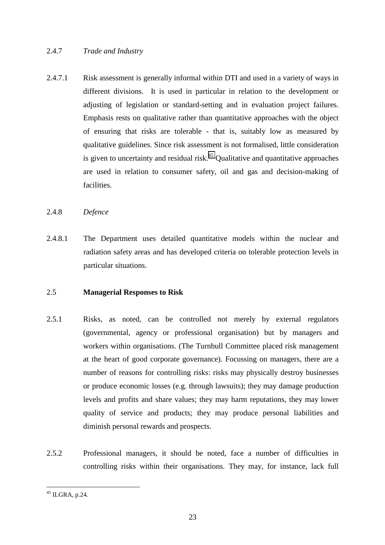# 2.4.7 *Trade and Industry*

2.4.7.1 Risk assessment is generally informal within DTI and used in a variety of ways in different divisions. It is used in particular in relation to the development or adjusting of legislation or standard-setting and in evaluation project failures. Emphasis rests on qualitative rather than quantitative approaches with the object of ensuring that risks are tolerable - that is, suitably low as measured by qualitative guidelines. Since risk assessment is not formalised, little consideration is given to uncertainty and residual risk.<sup>45</sup> Qualitative and quantitative approaches are used in relation to consumer safety, oil and gas and decision-making of facilities.

# 2.4.8 *Defence*

2.4.8.1 The Department uses detailed quantitative models within the nuclear and radiation safety areas and has developed criteria on tolerable protection levels in particular situations.

# 2.5 **Managerial Responses to Risk**

- 2.5.1 Risks, as noted, can be controlled not merely by external regulators (governmental, agency or professional organisation) but by managers and workers within organisations. (The Turnbull Committee placed risk management at the heart of good corporate governance). Focussing on managers, there are a number of reasons for controlling risks: risks may physically destroy businesses or produce economic losses (e.g. through lawsuits); they may damage production levels and profits and share values; they may harm reputations, they may lower quality of service and products; they may produce personal liabilities and diminish personal rewards and prospects.
- 2.5.2 Professional managers, it should be noted, face a number of difficulties in controlling risks within their organisations. They may, for instance, lack full

 $^{45}$  ILGRA, p.24.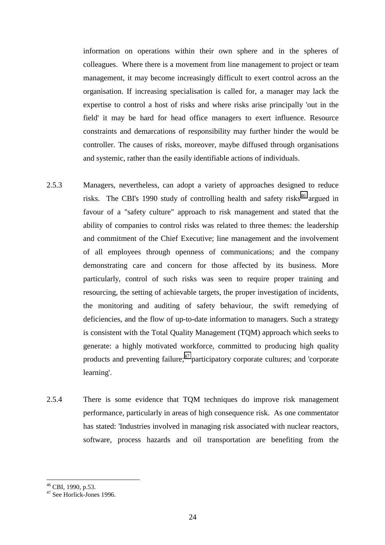information on operations within their own sphere and in the spheres of colleagues. Where there is a movement from line management to project or team management, it may become increasingly difficult to exert control across an the organisation. If increasing specialisation is called for, a manager may lack the expertise to control a host of risks and where risks arise principally 'out in the field' it may be hard for head office managers to exert influence. Resource constraints and demarcations of responsibility may further hinder the would be controller. The causes of risks, moreover, maybe diffused through organisations and systemic, rather than the easily identifiable actions of individuals.

- 2.5.3 Managers, nevertheless, can adopt a variety of approaches designed to reduce risks. The CBI's 1990 study of controlling health and safety risks<sup>46</sup> argued in favour of a "safety culture" approach to risk management and stated that the ability of companies to control risks was related to three themes: the leadership and commitment of the Chief Executive; line management and the involvement of all employees through openness of communications; and the company demonstrating care and concern for those affected by its business. More particularly, control of such risks was seen to require proper training and resourcing, the setting of achievable targets, the proper investigation of incidents, the monitoring and auditing of safety behaviour, the swift remedying of deficiencies, and the flow of up-to-date information to managers. Such a strategy is consistent with the Total Quality Management (TQM) approach which seeks to generate: a highly motivated workforce, committed to producing high quality products and preventing failure; $^{47}$  participatory corporate cultures; and 'corporate learning'.
- 2.5.4 There is some evidence that TQM techniques do improve risk management performance, particularly in areas of high consequence risk. As one commentator has stated: 'Industries involved in managing risk associated with nuclear reactors, software, process hazards and oil transportation are benefiting from the

 $46$  CBI, 1990, p.53.

 $47$  See Horlick-Jones 1996.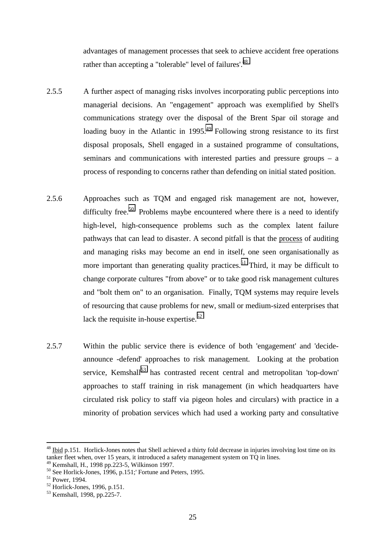advantages of management processes that seek to achieve accident free operations rather than accepting a "tolerable" level of failures'.<sup>48</sup>

- 2.5.5 A further aspect of managing risks involves incorporating public perceptions into managerial decisions. An "engagement" approach was exemplified by Shell's communications strategy over the disposal of the Brent Spar oil storage and loading buoy in the Atlantic in  $1995<sup>49</sup>$  Following strong resistance to its first disposal proposals, Shell engaged in a sustained programme of consultations, seminars and communications with interested parties and pressure groups – a process of responding to concerns rather than defending on initial stated position.
- 2.5.6 Approaches such as TQM and engaged risk management are not, however, difficulty free.<sup>50</sup> Problems maybe encountered where there is a need to identify high-level, high-consequence problems such as the complex latent failure pathways that can lead to disaster. A second pitfall is that the process of auditing and managing risks may become an end in itself, one seen organisationally as more important than generating quality practices.<sup>51</sup> Third, it may be difficult to change corporate cultures "from above" or to take good risk management cultures and "bolt them on" to an organisation. Finally, TQM systems may require levels of resourcing that cause problems for new, small or medium-sized enterprises that lack the requisite in-house expertise.<sup>52</sup>
- 2.5.7 Within the public service there is evidence of both 'engagement' and 'decideannounce -defend' approaches to risk management. Looking at the probation service, Kemshall<sup>53</sup> has contrasted recent central and metropolitan 'top-down' approaches to staff training in risk management (in which headquarters have circulated risk policy to staff via pigeon holes and circulars) with practice in a minority of probation services which had used a working party and consultative

 $48$  Ibid p.151. Horlick-Jones notes that Shell achieved a thirty fold decrease in injuries involving lost time on its tanker fleet when, over 15 years, it introduced a safety management system on  $\overrightarrow{TO}$  in lines.

<sup>49</sup> Kemshall, H., 1998 pp.223-5, Wilkinson 1997.

<sup>&</sup>lt;sup>50</sup> See Horlick-Jones, 1996, p.151;' Fortune and Peters, 1995.

<sup>51</sup> Power, 1994.

<sup>52</sup> Horlick-Jones, 1996, p.151.

<sup>53</sup> Kemshall, 1998, pp.225-7.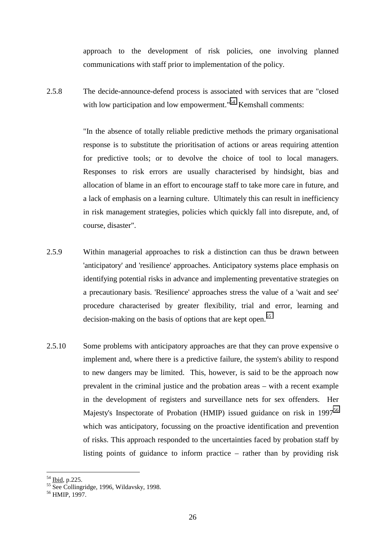approach to the development of risk policies, one involving planned communications with staff prior to implementation of the policy.

2.5.8 The decide-announce-defend process is associated with services that are "closed with low participation and low empowerment."<sup>54</sup> Kemshall comments:

> "In the absence of totally reliable predictive methods the primary organisational response is to substitute the prioritisation of actions or areas requiring attention for predictive tools; or to devolve the choice of tool to local managers. Responses to risk errors are usually characterised by hindsight, bias and allocation of blame in an effort to encourage staff to take more care in future, and a lack of emphasis on a learning culture. Ultimately this can result in inefficiency in risk management strategies, policies which quickly fall into disrepute, and, of course, disaster".

- 2.5.9 Within managerial approaches to risk a distinction can thus be drawn between 'anticipatory' and 'resilience' approaches. Anticipatory systems place emphasis on identifying potential risks in advance and implementing preventative strategies on a precautionary basis. 'Resilience' approaches stress the value of a 'wait and see' procedure characterised by greater flexibility, trial and error, learning and decision-making on the basis of options that are kept open.<sup>55</sup>
- 2.5.10 Some problems with anticipatory approaches are that they can prove expensive o implement and, where there is a predictive failure, the system's ability to respond to new dangers may be limited. This, however, is said to be the approach now prevalent in the criminal justice and the probation areas – with a recent example in the development of registers and surveillance nets for sex offenders. Her Majesty's Inspectorate of Probation (HMIP) issued guidance on risk in 1997<sup>56</sup> which was anticipatory, focussing on the proactive identification and prevention of risks. This approach responded to the uncertainties faced by probation staff by listing points of guidance to inform practice – rather than by providing risk

<sup>&</sup>lt;sup>54</sup> <u>Ibid</u>, p.225.<br><sup>55</sup> See Collingridge, 1996, Wildavsky, 1998.

<sup>56</sup> HMIP, 1997.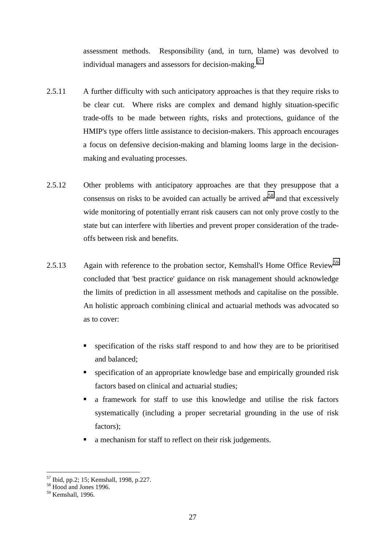assessment methods. Responsibility (and, in turn, blame) was devolved to individual managers and assessors for decision-making.<sup>57</sup>

- 2.5.11 A further difficulty with such anticipatory approaches is that they require risks to be clear cut. Where risks are complex and demand highly situation-specific trade-offs to be made between rights, risks and protections, guidance of the HMIP's type offers little assistance to decision-makers. This approach encourages a focus on defensive decision-making and blaming looms large in the decisionmaking and evaluating processes.
- 2.5.12 Other problems with anticipatory approaches are that they presuppose that a consensus on risks to be avoided can actually be arrived  $at^{58}$  and that excessively wide monitoring of potentially errant risk causers can not only prove costly to the state but can interfere with liberties and prevent proper consideration of the tradeoffs between risk and benefits.
- 2.5.13 Again with reference to the probation sector, Kemshall's Home Office Review<sup>59</sup> concluded that 'best practice' guidance on risk management should acknowledge the limits of prediction in all assessment methods and capitalise on the possible. An holistic approach combining clinical and actuarial methods was advocated so as to cover:
	- specification of the risks staff respond to and how they are to be prioritised and balanced;
	- **Exercification of an appropriate knowledge base and empirically grounded risk** factors based on clinical and actuarial studies;
	- a framework for staff to use this knowledge and utilise the risk factors systematically (including a proper secretarial grounding in the use of risk factors);
	- a mechanism for staff to reflect on their risk judgements.

 $\overline{a}$ 57 Ibid, pp.2; 15; Kemshall, 1998, p.227.

<sup>&</sup>lt;sup>58</sup> Hood and Jones 1996.

<sup>59</sup> Kemshall, 1996.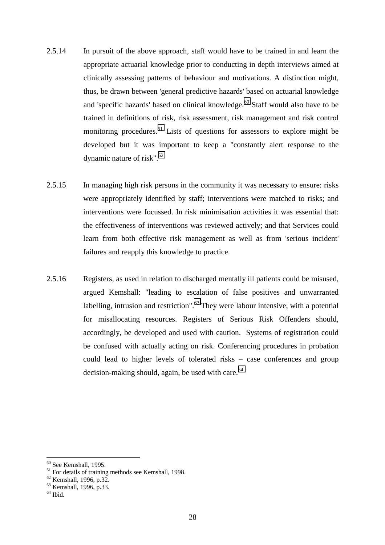- 2.5.14 In pursuit of the above approach, staff would have to be trained in and learn the appropriate actuarial knowledge prior to conducting in depth interviews aimed at clinically assessing patterns of behaviour and motivations. A distinction might, thus, be drawn between 'general predictive hazards' based on actuarial knowledge and 'specific hazards' based on clinical knowledge. $60$  Staff would also have to be trained in definitions of risk, risk assessment, risk management and risk control monitoring procedures.<sup>61</sup> Lists of questions for assessors to explore might be developed but it was important to keep a "constantly alert response to the dynamic nature of risk". $62$
- 2.5.15 In managing high risk persons in the community it was necessary to ensure: risks were appropriately identified by staff; interventions were matched to risks; and interventions were focussed. In risk minimisation activities it was essential that: the effectiveness of interventions was reviewed actively; and that Services could learn from both effective risk management as well as from 'serious incident' failures and reapply this knowledge to practice.
- 2.5.16 Registers, as used in relation to discharged mentally ill patients could be misused, argued Kemshall: "leading to escalation of false positives and unwarranted labelling, intrusion and restriction". $63$  They were labour intensive, with a potential for misallocating resources. Registers of Serious Risk Offenders should, accordingly, be developed and used with caution. Systems of registration could be confused with actually acting on risk. Conferencing procedures in probation could lead to higher levels of tolerated risks – case conferences and group decision-making should, again, be used with care. $64$

 $60$  See Kemshall, 1995.

 $61$  For details of training methods see Kemshall, 1998.

<sup>62</sup> Kemshall, 1996, p.32.

<sup>&</sup>lt;sup>63</sup> Kemshall, 1996, p.33.

 $64$  Ibid.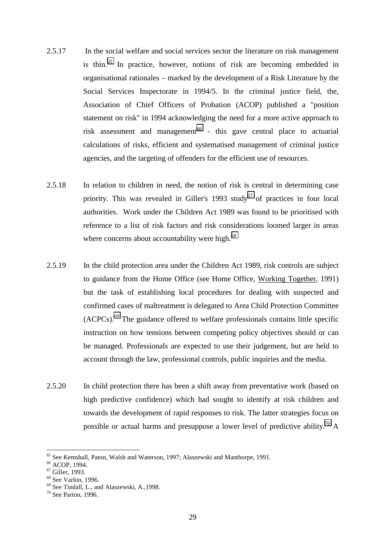- 2.5.17 In the social welfare and social services sector the literature on risk management is thin.<sup>65</sup> In practice, however, notions of risk are becoming embedded in organisational rationales – marked by the development of a Risk Literature by the Social Services Inspectorate in 1994/5. In the criminal justice field, the, Association of Chief Officers of Probation (ACOP) published a "position statement on risk" in 1994 acknowledging the need for a more active approach to risk assessment and management<sup>66</sup> - this gave central place to actuarial calculations of risks, efficient and systematised management of criminal justice agencies, and the targeting of offenders for the efficient use of resources.
- 2.5.18 In relation to children in need, the notion of risk is central in determining case priority. This was revealed in Giller's 1993 study<sup>67</sup> of practices in four local authorities. Work under the Children Act 1989 was found to be prioritised with reference to a list of risk factors and risk considerations loomed larger in areas where concerns about accountability were high. $68$
- 2.5.19 In the child protection area under the Children Act 1989, risk controls are subject to guidance from the Home Office (see Home Office, Working Together, 1991) but the task of establishing local procedures for dealing with suspected and confirmed cases of maltreatment is delegated to Area Child Protection Committee  $(ACPCs).<sup>69</sup>$  The guidance offered to welfare professionals contains little specific instruction on how tensions between competing policy objectives should or can be managed. Professionals are expected to use their judgement, but are held to account through the law, professional controls, public inquiries and the media.
- 2.5.20 In child protection there has been a shift away from preventative work (based on high predictive confidence) which had sought to identify at risk children and towards the development of rapid responses to risk. The latter strategies focus on possible or actual harms and presuppose a lower level of predictive ability.<sup>70</sup> A

<sup>&</sup>lt;sup>65</sup> See Kemshall, Paton, Walsh and Waterson, 1997; Alaszewski and Manthorpe, 1991.

<sup>66</sup> ACOP, 1994.

<sup>67</sup> Giller, 1993.

<sup>68</sup> See Varlon, 1996.

<sup>69</sup> See Tindall, L., and Alaszewski, A.,1998.

<sup>70</sup> See Parton, 1996.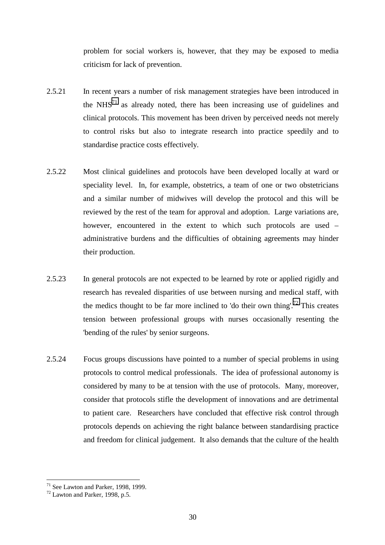problem for social workers is, however, that they may be exposed to media criticism for lack of prevention.

- 2.5.21 In recent years a number of risk management strategies have been introduced in the  $NHS<sup>71</sup>$  as already noted, there has been increasing use of guidelines and clinical protocols. This movement has been driven by perceived needs not merely to control risks but also to integrate research into practice speedily and to standardise practice costs effectively.
- 2.5.22 Most clinical guidelines and protocols have been developed locally at ward or speciality level. In, for example, obstetrics, a team of one or two obstetricians and a similar number of midwives will develop the protocol and this will be reviewed by the rest of the team for approval and adoption. Large variations are, however, encountered in the extent to which such protocols are used – administrative burdens and the difficulties of obtaining agreements may hinder their production.
- 2.5.23 In general protocols are not expected to be learned by rote or applied rigidly and research has revealed disparities of use between nursing and medical staff, with the medics thought to be far more inclined to 'do their own thing'.<sup>72</sup> This creates tension between professional groups with nurses occasionally resenting the 'bending of the rules' by senior surgeons.
- 2.5.24 Focus groups discussions have pointed to a number of special problems in using protocols to control medical professionals. The idea of professional autonomy is considered by many to be at tension with the use of protocols. Many, moreover, consider that protocols stifle the development of innovations and are detrimental to patient care. Researchers have concluded that effective risk control through protocols depends on achieving the right balance between standardising practice and freedom for clinical judgement. It also demands that the culture of the health

 $\overline{a}$  $71$  See Lawton and Parker, 1998, 1999.

<sup>72</sup> Lawton and Parker, 1998, p.5.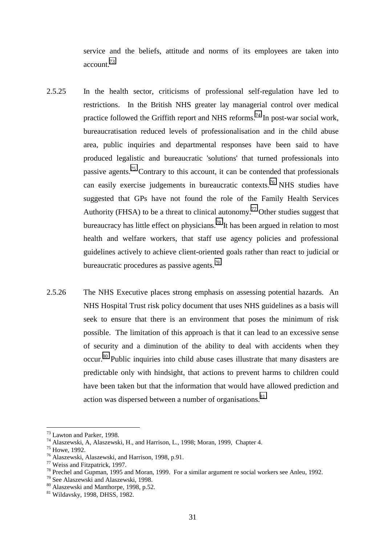service and the beliefs, attitude and norms of its employees are taken into account.73

- 2.5.25 In the health sector, criticisms of professional self-regulation have led to restrictions. In the British NHS greater lay managerial control over medical practice followed the Griffith report and NHS reforms.<sup>74</sup> In post-war social work, bureaucratisation reduced levels of professionalisation and in the child abuse area, public inquiries and departmental responses have been said to have produced legalistic and bureaucratic 'solutions' that turned professionals into passive agents.75 Contrary to this account, it can be contended that professionals can easily exercise judgements in bureaucratic contexts.76 NHS studies have suggested that GPs have not found the role of the Family Health Services Authority (FHSA) to be a threat to clinical autonomy.<sup>77</sup> Other studies suggest that bureaucracy has little effect on physicians.<sup>78</sup> It has been argued in relation to most health and welfare workers, that staff use agency policies and professional guidelines actively to achieve client-oriented goals rather than react to judicial or bureaucratic procedures as passive agents.<sup>79</sup>
- 2.5.26 The NHS Executive places strong emphasis on assessing potential hazards. An NHS Hospital Trust risk policy document that uses NHS guidelines as a basis will seek to ensure that there is an environment that poses the minimum of risk possible. The limitation of this approach is that it can lead to an excessive sense of security and a diminution of the ability to deal with accidents when they occur.80 Public inquiries into child abuse cases illustrate that many disasters are predictable only with hindsight, that actions to prevent harms to children could have been taken but that the information that would have allowed prediction and action was dispersed between a number of organisations.<sup>81</sup>

<sup>73</sup> Lawton and Parker, 1998.

<sup>74</sup> Alaszewski, A, Alaszewski, H., and Harrison, L., 1998; Moran, 1999, Chapter 4.

<sup>75</sup> Howe, 1992.

<sup>76</sup> Alaszewski, Alaszewski, and Harrison, 1998, p.91.

<sup>77</sup> Weiss and Fitzpatrick, 1997.

<sup>78</sup> Prechel and Gupman, 1995 and Moran, 1999. For a similar argument re social workers see Anleu, 1992.

<sup>79</sup> See Alaszewski and Alaszewski, 1998.

<sup>80</sup> Alaszewski and Manthorpe, 1998, p.52.

<sup>81</sup> Wildavsky, 1998, DHSS, 1982.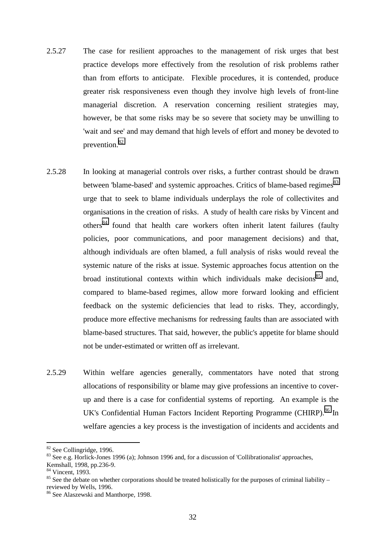- 2.5.27 The case for resilient approaches to the management of risk urges that best practice develops more effectively from the resolution of risk problems rather than from efforts to anticipate. Flexible procedures, it is contended, produce greater risk responsiveness even though they involve high levels of front-line managerial discretion. A reservation concerning resilient strategies may, however, be that some risks may be so severe that society may be unwilling to 'wait and see' and may demand that high levels of effort and money be devoted to prevention.82
- 2.5.28 In looking at managerial controls over risks, a further contrast should be drawn between 'blame-based' and systemic approaches. Critics of blame-based regimes<sup>83</sup> urge that to seek to blame individuals underplays the role of collectivites and organisations in the creation of risks. A study of health care risks by Vincent and others<sup>84</sup> found that health care workers often inherit latent failures (faulty policies, poor communications, and poor management decisions) and that, although individuals are often blamed, a full analysis of risks would reveal the systemic nature of the risks at issue. Systemic approaches focus attention on the broad institutional contexts within which individuals make decisions<sup>85</sup> and, compared to blame-based regimes, allow more forward looking and efficient feedback on the systemic deficiencies that lead to risks. They, accordingly, produce more effective mechanisms for redressing faults than are associated with blame-based structures. That said, however, the public's appetite for blame should not be under-estimated or written off as irrelevant.
- 2.5.29 Within welfare agencies generally, commentators have noted that strong allocations of responsibility or blame may give professions an incentive to coverup and there is a case for confidential systems of reporting. An example is the UK's Confidential Human Factors Incident Reporting Programme (CHIRP).<sup>86</sup> In welfare agencies a key process is the investigation of incidents and accidents and

<sup>82</sup> See Collingridge, 1996.

<sup>83</sup> See e.g. Horlick-Jones 1996 (a); Johnson 1996 and, for a discussion of 'Collibrationalist' approaches,

Kemshall, 1998, pp.236-9.

<sup>&</sup>lt;sup>84</sup> Vincent, 1993.

 $85$  See the debate on whether corporations should be treated holistically for the purposes of criminal liability – reviewed by Wells, 1996.

<sup>86</sup> See Alaszewski and Manthorpe, 1998.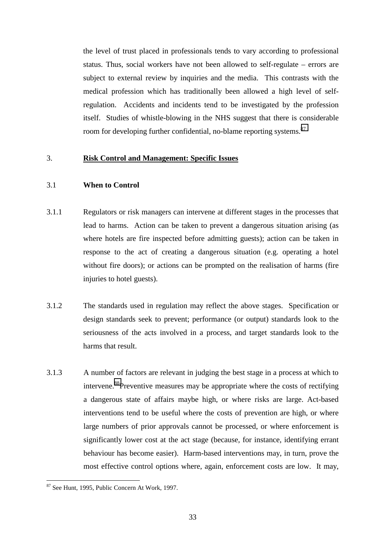the level of trust placed in professionals tends to vary according to professional status. Thus, social workers have not been allowed to self-regulate – errors are subject to external review by inquiries and the media. This contrasts with the medical profession which has traditionally been allowed a high level of selfregulation. Accidents and incidents tend to be investigated by the profession itself. Studies of whistle-blowing in the NHS suggest that there is considerable room for developing further confidential, no-blame reporting systems.<sup>87</sup>

#### 3. **Risk Control and Management: Specific Issues**

# 3.1 **When to Control**

- 3.1.1 Regulators or risk managers can intervene at different stages in the processes that lead to harms. Action can be taken to prevent a dangerous situation arising (as where hotels are fire inspected before admitting guests); action can be taken in response to the act of creating a dangerous situation (e.g. operating a hotel without fire doors); or actions can be prompted on the realisation of harms (fire injuries to hotel guests).
- 3.1.2 The standards used in regulation may reflect the above stages. Specification or design standards seek to prevent; performance (or output) standards look to the seriousness of the acts involved in a process, and target standards look to the harms that result.
- 3.1.3 A number of factors are relevant in judging the best stage in a process at which to intervene.<sup>88</sup>Preventive measures may be appropriate where the costs of rectifying a dangerous state of affairs maybe high, or where risks are large. Act-based interventions tend to be useful where the costs of prevention are high, or where large numbers of prior approvals cannot be processed, or where enforcement is significantly lower cost at the act stage (because, for instance, identifying errant behaviour has become easier). Harm-based interventions may, in turn, prove the most effective control options where, again, enforcement costs are low. It may,

<sup>87</sup> See Hunt, 1995, Public Concern At Work, 1997.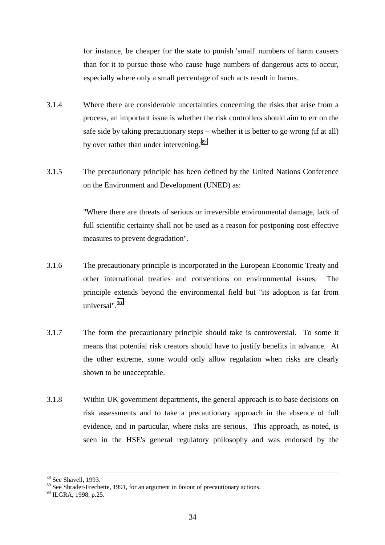for instance, be cheaper for the state to punish 'small' numbers of harm causers than for it to pursue those who cause huge numbers of dangerous acts to occur, especially where only a small percentage of such acts result in harms.

- 3.1.4 Where there are considerable uncertainties concerning the risks that arise from a process, an important issue is whether the risk controllers should aim to err on the safe side by taking precautionary steps – whether it is better to go wrong (if at all) by over rather than under intervening.<sup>89</sup>
- 3.1.5 The precautionary principle has been defined by the United Nations Conference on the Environment and Development (UNED) as:

"Where there are threats of serious or irreversible environmental damage, lack of full scientific certainty shall not be used as a reason for postponing cost-effective measures to prevent degradation".

- 3.1.6 The precautionary principle is incorporated in the European Economic Treaty and other international treaties and conventions on environmental issues. The principle extends beyond the environmental field but "its adoption is far from universal".90
- 3.1.7 The form the precautionary principle should take is controversial. To some it means that potential risk creators should have to justify benefits in advance. At the other extreme, some would only allow regulation when risks are clearly shown to be unacceptable.
- 3.1.8 Within UK government departments, the general approach is to base decisions on risk assessments and to take a precautionary approach in the absence of full evidence, and in particular, where risks are serious. This approach, as noted, is seen in the HSE's general regulatory philosophy and was endorsed by the

 <sup>88</sup> See Shavell, 1993.

<sup>&</sup>lt;sup>89</sup> See Shrader-Frechette, 1991, for an argument in favour of precautionary actions.

<sup>&</sup>lt;sup>90</sup> ILGRA, 1998, p.25.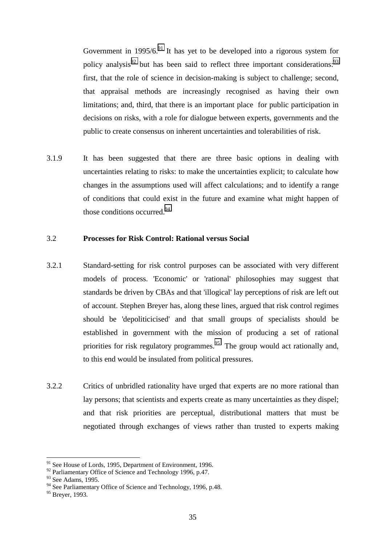Government in  $1995/6<sup>91</sup>$  It has yet to be developed into a rigorous system for policy analysis<sup>92</sup> but has been said to reflect three important considerations:<sup>93</sup> first, that the role of science in decision-making is subject to challenge; second, that appraisal methods are increasingly recognised as having their own limitations; and, third, that there is an important place for public participation in decisions on risks, with a role for dialogue between experts, governments and the public to create consensus on inherent uncertainties and tolerabilities of risk.

3.1.9 It has been suggested that there are three basic options in dealing with uncertainties relating to risks: to make the uncertainties explicit; to calculate how changes in the assumptions used will affect calculations; and to identify a range of conditions that could exist in the future and examine what might happen of those conditions occurred. $94$ 

#### 3.2 **Processes for Risk Control: Rational versus Social**

- 3.2.1 Standard-setting for risk control purposes can be associated with very different models of process. 'Economic' or 'rational' philosophies may suggest that standards be driven by CBAs and that 'illogical' lay perceptions of risk are left out of account. Stephen Breyer has, along these lines, argued that risk control regimes should be 'depoliticicised' and that small groups of specialists should be established in government with the mission of producing a set of rational priorities for risk regulatory programmes.<sup>95</sup> The group would act rationally and, to this end would be insulated from political pressures.
- 3.2.2 Critics of unbridled rationality have urged that experts are no more rational than lay persons; that scientists and experts create as many uncertainties as they dispel; and that risk priorities are perceptual, distributional matters that must be negotiated through exchanges of views rather than trusted to experts making

 $91$  See House of Lords, 1995, Department of Environment, 1996.

 $92$  Parliamentary Office of Science and Technology 1996, p.47.

<sup>&</sup>lt;sup>93</sup> See Adams, 1995.

<sup>&</sup>lt;sup>94</sup> See Parliamentary Office of Science and Technology, 1996, p.48.

<sup>&</sup>lt;sup>95</sup> Breyer, 1993.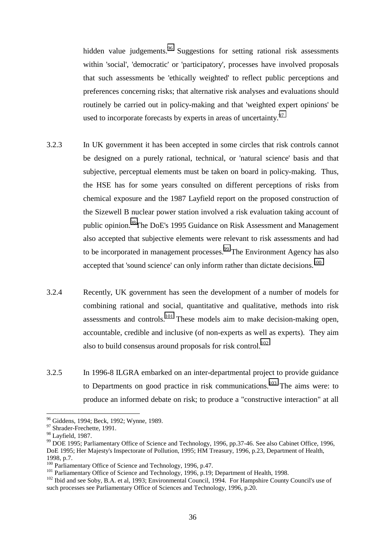hidden value judgements.<sup>96</sup> Suggestions for setting rational risk assessments within 'social', 'democratic' or 'participatory', processes have involved proposals that such assessments be 'ethically weighted' to reflect public perceptions and preferences concerning risks; that alternative risk analyses and evaluations should routinely be carried out in policy-making and that 'weighted expert opinions' be used to incorporate forecasts by experts in areas of uncertainty.<sup>97</sup>

- 3.2.3 In UK government it has been accepted in some circles that risk controls cannot be designed on a purely rational, technical, or 'natural science' basis and that subjective, perceptual elements must be taken on board in policy-making. Thus, the HSE has for some years consulted on different perceptions of risks from chemical exposure and the 1987 Layfield report on the proposed construction of the Sizewell B nuclear power station involved a risk evaluation taking account of public opinion.<sup>98</sup>The DoE's 1995 Guidance on Risk Assessment and Management also accepted that subjective elements were relevant to risk assessments and had to be incorporated in management processes.<sup>99</sup> The Environment Agency has also accepted that 'sound science' can only inform rather than dictate decisions.<sup>100</sup>
- 3.2.4 Recently, UK government has seen the development of a number of models for combining rational and social, quantitative and qualitative, methods into risk assessments and controls.<sup>101</sup> These models aim to make decision-making open, accountable, credible and inclusive (of non-experts as well as experts). They aim also to build consensus around proposals for risk control.<sup>102</sup>
- 3.2.5 In 1996-8 ILGRA embarked on an inter-departmental project to provide guidance to Departments on good practice in risk communications.<sup>103</sup> The aims were: to produce an informed debate on risk; to produce a "constructive interaction" at all

<sup>&</sup>lt;sup>96</sup> Giddens, 1994; Beck, 1992; Wynne, 1989.

<sup>&</sup>lt;sup>97</sup> Shrader-Frechette, 1991.

<sup>&</sup>lt;sup>98</sup> Layfield, 1987.

<sup>99</sup> DOE 1995; Parliamentary Office of Science and Technology, 1996, pp.37-46. See also Cabinet Office, 1996, DoE 1995; Her Majesty's Inspectorate of Pollution, 1995; HM Treasury, 1996, p.23, Department of Health, 1998, p.7.<br><sup>100</sup> Parliamentary Office of Science and Technology, 1996, p.47.

<sup>&</sup>lt;sup>101</sup> Parliamentary Office of Science and Technology, 1996, p.19; Department of Health, 1998.<br><sup>102</sup> Ibid and see Soby, B.A. et al, 1993; Environmental Council, 1994. For Hampshire County Council's use of such processes see Parliamentary Office of Sciences and Technology, 1996, p.20.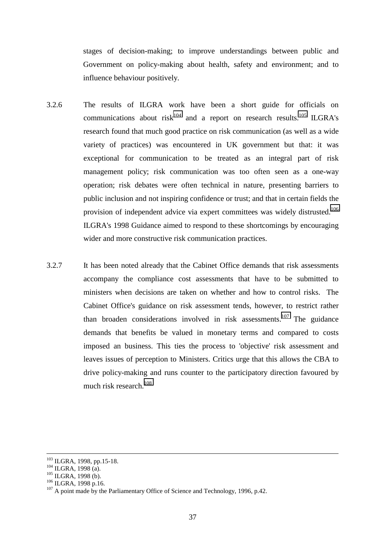stages of decision-making; to improve understandings between public and Government on policy-making about health, safety and environment; and to influence behaviour positively.

- 3.2.6 The results of ILGRA work have been a short guide for officials on communications about  $risk^{104}$  and a report on research results.<sup>105</sup> ILGRA's research found that much good practice on risk communication (as well as a wide variety of practices) was encountered in UK government but that: it was exceptional for communication to be treated as an integral part of risk management policy; risk communication was too often seen as a one-way operation; risk debates were often technical in nature, presenting barriers to public inclusion and not inspiring confidence or trust; and that in certain fields the provision of independent advice via expert committees was widely distrusted.<sup>106</sup> ILGRA's 1998 Guidance aimed to respond to these shortcomings by encouraging wider and more constructive risk communication practices.
- 3.2.7 It has been noted already that the Cabinet Office demands that risk assessments accompany the compliance cost assessments that have to be submitted to ministers when decisions are taken on whether and how to control risks. The Cabinet Office's guidance on risk assessment tends, however, to restrict rather than broaden considerations involved in risk assessments.<sup>107</sup> The guidance demands that benefits be valued in monetary terms and compared to costs imposed an business. This ties the process to 'objective' risk assessment and leaves issues of perception to Ministers. Critics urge that this allows the CBA to drive policy-making and runs counter to the participatory direction favoured by much risk research.<sup>108</sup>

<sup>&</sup>lt;sup>103</sup> ILGRA, 1998, pp.15-18.<br><sup>104</sup> ILGRA, 1998 (a).<br><sup>105</sup> ILGRA, 1998 (b).<br><sup>106</sup> ILGRA, 1998 p.16.<br><sup>107</sup> A point made by the Parliamentary Office of Science and Technology, 1996, p.42.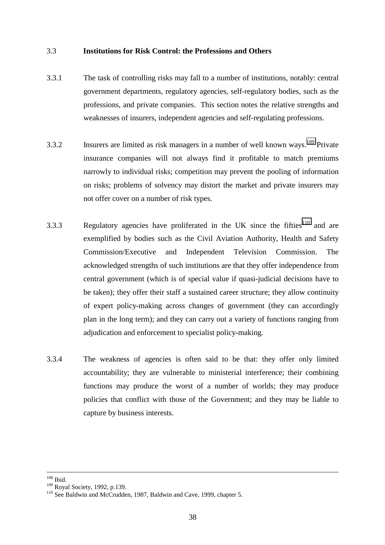#### 3.3 **Institutions for Risk Control: the Professions and Others**

- 3.3.1 The task of controlling risks may fall to a number of institutions, notably: central government departments, regulatory agencies, self-regulatory bodies, such as the professions, and private companies. This section notes the relative strengths and weaknesses of insurers, independent agencies and self-regulating professions.
- 3.3.2 Insurers are limited as risk managers in a number of well known ways.<sup>109</sup> Private insurance companies will not always find it profitable to match premiums narrowly to individual risks; competition may prevent the pooling of information on risks; problems of solvency may distort the market and private insurers may not offer cover on a number of risk types.
- 3.3.3 Regulatory agencies have proliferated in the UK since the fifties<sup>110</sup> and are exemplified by bodies such as the Civil Aviation Authority, Health and Safety Commission/Executive and Independent Television Commission. The acknowledged strengths of such institutions are that they offer independence from central government (which is of special value if quasi-judicial decisions have to be taken); they offer their staff a sustained career structure; they allow continuity of expert policy-making across changes of government (they can accordingly plan in the long term); and they can carry out a variety of functions ranging from adjudication and enforcement to specialist policy-making.
- 3.3.4 The weakness of agencies is often said to be that: they offer only limited accountability; they are vulnerable to ministerial interference; their combining functions may produce the worst of a number of worlds; they may produce policies that conflict with those of the Government; and they may be liable to capture by business interests.

 $\frac{108}{109}$  Ibid.<br> $\frac{109}{109}$  Roval Society, 1992, p.139.

<sup>&</sup>lt;sup>110</sup> See Baldwin and McCrudden, 1987, Baldwin and Cave, 1999, chapter 5.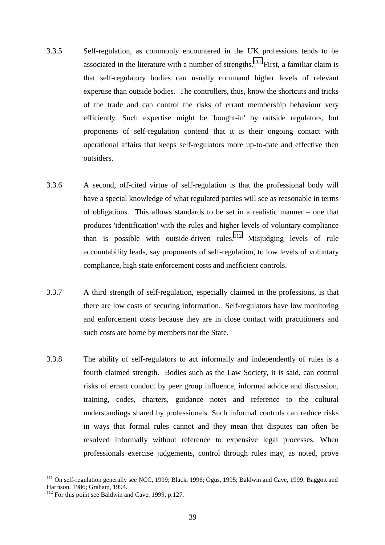- 3.3.5 Self-regulation, as commonly encountered in the UK professions tends to be associated in the literature with a number of strengths.<sup>111</sup> First, a familiar claim is that self-regulatory bodies can usually command higher levels of relevant expertise than outside bodies. The controllers, thus, know the shortcuts and tricks of the trade and can control the risks of errant membership behaviour very efficiently. Such expertise might be 'bought-in' by outside regulators, but proponents of self-regulation contend that it is their ongoing contact with operational affairs that keeps self-regulators more up-to-date and effective then outsiders.
- 3.3.6 A second, off-cited virtue of self-regulation is that the professional body will have a special knowledge of what regulated parties will see as reasonable in terms of obligations. This allows standards to be set in a realistic manner – one that produces 'identification' with the rules and higher levels of voluntary compliance than is possible with outside-driven rules.<sup>112</sup> Misjudging levels of rule accountability leads, say proponents of self-regulation, to low levels of voluntary compliance, high state enforcement costs and inefficient controls.
- 3.3.7 A third strength of self-regulation, especially claimed in the professions, is that there are low costs of securing information. Self-regulators have low monitoring and enforcement costs because they are in close contact with practitioners and such costs are borne by members not the State.
- 3.3.8 The ability of self-regulators to act informally and independently of rules is a fourth claimed strength. Bodies such as the Law Society, it is said, can control risks of errant conduct by peer group influence, informal advice and discussion, training, codes, charters, guidance notes and reference to the cultural understandings shared by professionals. Such informal controls can reduce risks in ways that formal rules cannot and they mean that disputes can often be resolved informally without reference to expensive legal processes. When professionals exercise judgements, control through rules may, as noted, prove

<sup>&</sup>lt;sup>111</sup> On self-regulation generally see NCC, 1999; Black, 1996; Ogus, 1995; Baldwin and Cave, 1999; Baggott and Harrison, 1986; Graham, 1994.

 $112$  For this point see Baldwin and Cave, 1999, p.127.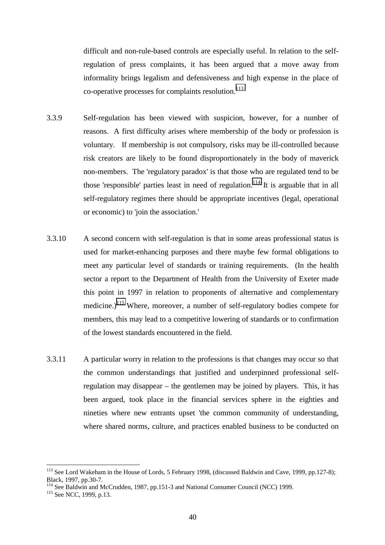difficult and non-rule-based controls are especially useful. In relation to the selfregulation of press complaints, it has been argued that a move away from informality brings legalism and defensiveness and high expense in the place of co-operative processes for complaints resolution.<sup>113</sup>

- 3.3.9 Self-regulation has been viewed with suspicion, however, for a number of reasons. A first difficulty arises where membership of the body or profession is voluntary. If membership is not compulsory, risks may be ill-controlled because risk creators are likely to be found disproportionately in the body of maverick non-members. The 'regulatory paradox' is that those who are regulated tend to be those 'responsible' parties least in need of regulation.<sup>114</sup> It is arguable that in all self-regulatory regimes there should be appropriate incentives (legal, operational or economic) to 'join the association.'
- 3.3.10 A second concern with self-regulation is that in some areas professional status is used for market-enhancing purposes and there maybe few formal obligations to meet any particular level of standards or training requirements. (In the health sector a report to the Department of Health from the University of Exeter made this point in 1997 in relation to proponents of alternative and complementary medicine.)<sup>115</sup> Where, moreover, a number of self-regulatory bodies compete for members, this may lead to a competitive lowering of standards or to confirmation of the lowest standards encountered in the field.
- 3.3.11 A particular worry in relation to the professions is that changes may occur so that the common understandings that justified and underpinned professional selfregulation may disappear – the gentlemen may be joined by players. This, it has been argued, took place in the financial services sphere in the eighties and nineties where new entrants upset 'the common community of understanding, where shared norms, culture, and practices enabled business to be conducted on

<sup>&</sup>lt;sup>113</sup> See Lord Wakeham in the House of Lords, 5 February 1998, (discussed Baldwin and Cave, 1999, pp.127-8); Black, 1997, pp.30-7.

<sup>&</sup>lt;sup>114</sup> See Baldwin and McCrudden, 1987, pp.151-3 and National Consumer Council (NCC) 1999.<br><sup>115</sup> See NCC, 1999, p.13.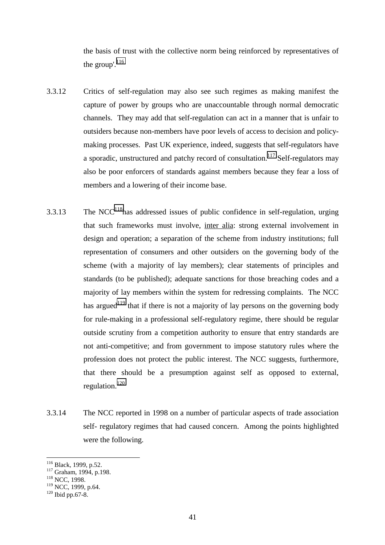the basis of trust with the collective norm being reinforced by representatives of the group'.<sup>116</sup>

- 3.3.12 Critics of self-regulation may also see such regimes as making manifest the capture of power by groups who are unaccountable through normal democratic channels. They may add that self-regulation can act in a manner that is unfair to outsiders because non-members have poor levels of access to decision and policymaking processes. Past UK experience, indeed, suggests that self-regulators have a sporadic, unstructured and patchy record of consultation.<sup>117</sup> Self-regulators may also be poor enforcers of standards against members because they fear a loss of members and a lowering of their income base.
- 3.3.13 The NCC<sup>118</sup>has addressed issues of public confidence in self-regulation, urging that such frameworks must involve, inter alia: strong external involvement in design and operation; a separation of the scheme from industry institutions; full representation of consumers and other outsiders on the governing body of the scheme (with a majority of lay members); clear statements of principles and standards (to be published); adequate sanctions for those breaching codes and a majority of lay members within the system for redressing complaints. The NCC has argued<sup>119</sup> that if there is not a majority of lay persons on the governing body for rule-making in a professional self-regulatory regime, there should be regular outside scrutiny from a competition authority to ensure that entry standards are not anti-competitive; and from government to impose statutory rules where the profession does not protect the public interest. The NCC suggests, furthermore, that there should be a presumption against self as opposed to external, regulation.120
- 3.3.14 The NCC reported in 1998 on a number of particular aspects of trade association self- regulatory regimes that had caused concern. Among the points highlighted were the following.

<sup>&</sup>lt;sup>116</sup> Black, 1999, p.52.

<sup>&</sup>lt;sup>117</sup> Graham, 1994, p.198.<br><sup>118</sup> NCC, 1998.

 $^{119}$  NCC, 1999, p.64.<br><sup>120</sup> Ibid pp.67-8.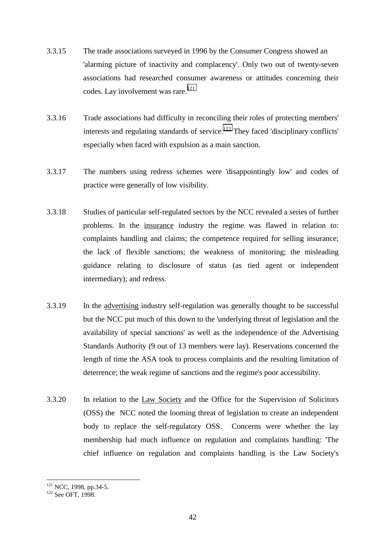- 3.3.15 The trade associations surveyed in 1996 by the Consumer Congress showed an 'alarming picture of inactivity and complacency'. Only two out of twenty-seven associations had researched consumer awareness or attitudes concerning their codes. Lay involvement was rare. $121$
- 3.3.16 Trade associations had difficulty in reconciling their roles of protecting members' interests and regulating standards of service.<sup>122</sup> They faced 'disciplinary conflicts' especially when faced with expulsion as a main sanction.
- 3.3.17 The numbers using redress schemes were 'disappointingly low' and codes of practice were generally of low visibility.
- 3.3.18 Studies of particular self-regulated sectors by the NCC revealed a series of further problems. In the insurance industry the regime was flawed in relation to: complaints handling and claims; the competence required for selling insurance; the lack of flexible sanctions; the weakness of monitoring; the misleading guidance relating to disclosure of status (as tied agent or independent intermediary); and redress.
- 3.3.19 In the advertising industry self-regulation was generally thought to be successful but the NCC put much of this down to the 'underlying threat of legislation and the availability of special sanctions' as well as the independence of the Advertising Standards Authority (9 out of 13 members were lay). Reservations concerned the length of time the ASA took to process complaints and the resulting limitation of deterrence; the weak regime of sanctions and the regime's poor accessibility.
- 3.3.20 In relation to the Law Society and the Office for the Supervision of Solicitors (OSS) the NCC noted the looming threat of legislation to create an independent body to replace the self-regulatory OSS. Concerns were whether the lay membership had much influence on regulation and complaints handling: 'The chief influence on regulation and complaints handling is the Law Society's

 $\overline{a}$ 

 $121$  NCC, 1998, pp.34-5.<br> $122$  See OFT, 1998.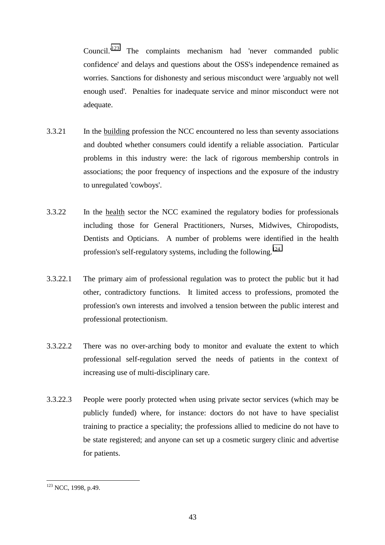Council.<sup>123</sup> The complaints mechanism had 'never commanded public confidence' and delays and questions about the OSS's independence remained as worries. Sanctions for dishonesty and serious misconduct were 'arguably not well enough used'. Penalties for inadequate service and minor misconduct were not adequate.

- 3.3.21 In the building profession the NCC encountered no less than seventy associations and doubted whether consumers could identify a reliable association. Particular problems in this industry were: the lack of rigorous membership controls in associations; the poor frequency of inspections and the exposure of the industry to unregulated 'cowboys'.
- 3.3.22 In the health sector the NCC examined the regulatory bodies for professionals including those for General Practitioners, Nurses, Midwives, Chiropodists, Dentists and Opticians. A number of problems were identified in the health profession's self-regulatory systems, including the following.124
- 3.3.22.1 The primary aim of professional regulation was to protect the public but it had other, contradictory functions. It limited access to professions, promoted the profession's own interests and involved a tension between the public interest and professional protectionism.
- 3.3.22.2 There was no over-arching body to monitor and evaluate the extent to which professional self-regulation served the needs of patients in the context of increasing use of multi-disciplinary care.
- 3.3.22.3 People were poorly protected when using private sector services (which may be publicly funded) where, for instance: doctors do not have to have specialist training to practice a speciality; the professions allied to medicine do not have to be state registered; and anyone can set up a cosmetic surgery clinic and advertise for patients.

 $\overline{a}$ <sup>123</sup> NCC, 1998, p.49.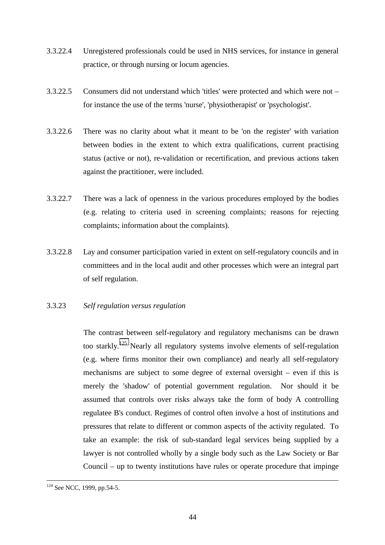- 3.3.22.4 Unregistered professionals could be used in NHS services, for instance in general practice, or through nursing or locum agencies.
- 3.3.22.5 Consumers did not understand which 'titles' were protected and which were not for instance the use of the terms 'nurse', 'physiotherapist' or 'psychologist'.
- 3.3.22.6 There was no clarity about what it meant to be 'on the register' with variation between bodies in the extent to which extra qualifications, current practising status (active or not), re-validation or recertification, and previous actions taken against the practitioner, were included.
- 3.3.22.7 There was a lack of openness in the various procedures employed by the bodies (e.g. relating to criteria used in screening complaints; reasons for rejecting complaints; information about the complaints).
- 3.3.22.8 Lay and consumer participation varied in extent on self-regulatory councils and in committees and in the local audit and other processes which were an integral part of self regulation.
- 3.3.23 *Self regulation versus regulation*

The contrast between self-regulatory and regulatory mechanisms can be drawn too starkly.125 Nearly all regulatory systems involve elements of self-regulation (e.g. where firms monitor their own compliance) and nearly all self-regulatory mechanisms are subject to some degree of external oversight – even if this is merely the 'shadow' of potential government regulation. Nor should it be assumed that controls over risks always take the form of body A controlling regulatee B's conduct. Regimes of control often involve a host of institutions and pressures that relate to different or common aspects of the activity regulated. To take an example: the risk of sub-standard legal services being supplied by a lawyer is not controlled wholly by a single body such as the Law Society or Bar Council – up to twenty institutions have rules or operate procedure that impinge

<sup>&</sup>lt;sup>124</sup> See NCC, 1999, pp.54-5.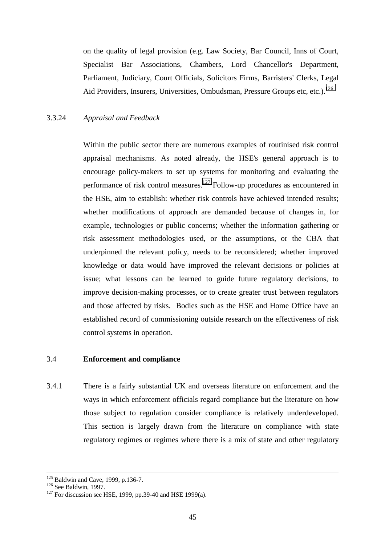on the quality of legal provision (e.g. Law Society, Bar Council, Inns of Court, Specialist Bar Associations, Chambers, Lord Chancellor's Department, Parliament, Judiciary, Court Officials, Solicitors Firms, Barristers' Clerks, Legal Aid Providers, Insurers, Universities, Ombudsman, Pressure Groups etc, etc.).<sup>126</sup>

#### 3.3.24 *Appraisal and Feedback*

Within the public sector there are numerous examples of routinised risk control appraisal mechanisms. As noted already, the HSE's general approach is to encourage policy-makers to set up systems for monitoring and evaluating the performance of risk control measures.127 Follow-up procedures as encountered in the HSE, aim to establish: whether risk controls have achieved intended results; whether modifications of approach are demanded because of changes in, for example, technologies or public concerns; whether the information gathering or risk assessment methodologies used, or the assumptions, or the CBA that underpinned the relevant policy, needs to be reconsidered; whether improved knowledge or data would have improved the relevant decisions or policies at issue; what lessons can be learned to guide future regulatory decisions, to improve decision-making processes, or to create greater trust between regulators and those affected by risks. Bodies such as the HSE and Home Office have an established record of commissioning outside research on the effectiveness of risk control systems in operation.

#### 3.4 **Enforcement and compliance**

3.4.1 There is a fairly substantial UK and overseas literature on enforcement and the ways in which enforcement officials regard compliance but the literature on how those subject to regulation consider compliance is relatively underdeveloped. This section is largely drawn from the literature on compliance with state regulatory regimes or regimes where there is a mix of state and other regulatory

<sup>&</sup>lt;sup>125</sup> Baldwin and Cave, 1999, p.136-7.<br><sup>126</sup> See Baldwin, 1997.<br><sup>127</sup> For discussion see HSE, 1999, pp.39-40 and HSE 1999(a).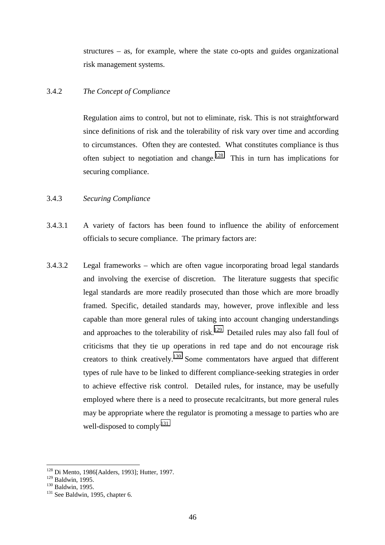structures – as, for example, where the state co-opts and guides organizational risk management systems.

# 3.4.2 *The Concept of Compliance*

Regulation aims to control, but not to eliminate, risk. This is not straightforward since definitions of risk and the tolerability of risk vary over time and according to circumstances. Often they are contested. What constitutes compliance is thus often subject to negotiation and change.<sup>128</sup> This in turn has implications for securing compliance.

#### 3.4.3 *Securing Compliance*

- 3.4.3.1 A variety of factors has been found to influence the ability of enforcement officials to secure compliance. The primary factors are:
- 3.4.3.2 Legal frameworks which are often vague incorporating broad legal standards and involving the exercise of discretion. The literature suggests that specific legal standards are more readily prosecuted than those which are more broadly framed. Specific, detailed standards may, however, prove inflexible and less capable than more general rules of taking into account changing understandings and approaches to the tolerability of risk.<sup>129</sup> Detailed rules may also fall foul of criticisms that they tie up operations in red tape and do not encourage risk creators to think creatively.<sup>130</sup> Some commentators have argued that different types of rule have to be linked to different compliance-seeking strategies in order to achieve effective risk control. Detailed rules, for instance, may be usefully employed where there is a need to prosecute recalcitrants, but more general rules may be appropriate where the regulator is promoting a message to parties who are well-disposed to comply<sup>131</sup>

 $128$  Di Mento, 1986[Aalders, 1993]; Hutter, 1997.

<sup>&</sup>lt;sup>129</sup> Baldwin, 1995.<br><sup>130</sup> Baldwin, 1995.<br><sup>131</sup> See Baldwin, 1995, chapter 6.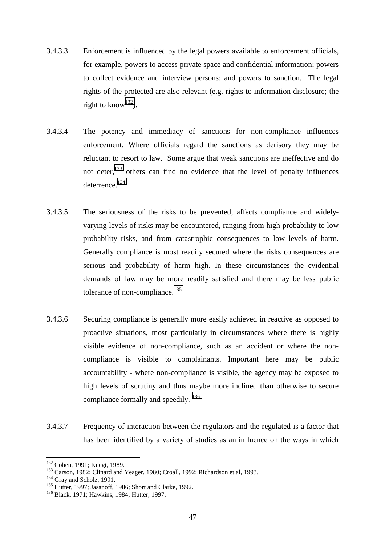- 3.4.3.3 Enforcement is influenced by the legal powers available to enforcement officials, for example, powers to access private space and confidential information; powers to collect evidence and interview persons; and powers to sanction. The legal rights of the protected are also relevant (e.g. rights to information disclosure; the right to know<sup>132</sup>).
- 3.4.3.4 The potency and immediacy of sanctions for non-compliance influences enforcement. Where officials regard the sanctions as derisory they may be reluctant to resort to law. Some argue that weak sanctions are ineffective and do not deter,<sup>133</sup> others can find no evidence that the level of penalty influences deterrence.134
- 3.4.3.5 The seriousness of the risks to be prevented, affects compliance and widelyvarying levels of risks may be encountered, ranging from high probability to low probability risks, and from catastrophic consequences to low levels of harm. Generally compliance is most readily secured where the risks consequences are serious and probability of harm high. In these circumstances the evidential demands of law may be more readily satisfied and there may be less public tolerance of non-compliance.<sup>135</sup>
- 3.4.3.6 Securing compliance is generally more easily achieved in reactive as opposed to proactive situations, most particularly in circumstances where there is highly visible evidence of non-compliance, such as an accident or where the noncompliance is visible to complainants. Important here may be public accountability - where non-compliance is visible, the agency may be exposed to high levels of scrutiny and thus maybe more inclined than otherwise to secure compliance formally and speedily.  $136$
- 3.4.3.7 Frequency of interaction between the regulators and the regulated is a factor that has been identified by a variety of studies as an influence on the ways in which

<sup>&</sup>lt;sup>132</sup> Cohen, 1991; Knegt, 1989.

<sup>&</sup>lt;sup>133</sup> Carson, 1982; Clinard and Yeager, 1980; Croall, 1992; Richardson et al, 1993.<br><sup>134</sup> Gray and Scholz, 1991.<br><sup>135</sup> Hutter, 1997; Jasanoff, 1986; Short and Clarke, 1992.<br><sup>136</sup> Black, 1971; Hawkins, 1984; Hutter, 1997.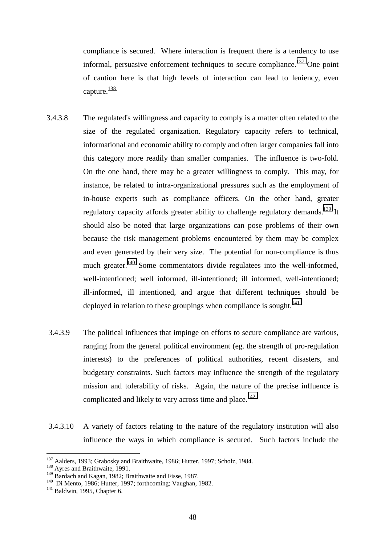compliance is secured. Where interaction is frequent there is a tendency to use informal, persuasive enforcement techniques to secure compliance.<sup>137</sup> One point of caution here is that high levels of interaction can lead to leniency, even capture.<sup>138</sup>

- 3.4.3.8 The regulated's willingness and capacity to comply is a matter often related to the size of the regulated organization. Regulatory capacity refers to technical, informational and economic ability to comply and often larger companies fall into this category more readily than smaller companies. The influence is two-fold. On the one hand, there may be a greater willingness to comply. This may, for instance, be related to intra-organizational pressures such as the employment of in-house experts such as compliance officers. On the other hand, greater regulatory capacity affords greater ability to challenge regulatory demands.<sup>139</sup> It should also be noted that large organizations can pose problems of their own because the risk management problems encountered by them may be complex and even generated by their very size. The potential for non-compliance is thus much greater.<sup>140</sup> Some commentators divide regulatees into the well-informed, well-intentioned; well informed, ill-intentioned; ill informed, well-intentioned; ill-informed, ill intentioned, and argue that different techniques should be deployed in relation to these groupings when compliance is sought.<sup>141</sup>
- 3.4.3.9 The political influences that impinge on efforts to secure compliance are various, ranging from the general political environment (eg. the strength of pro-regulation interests) to the preferences of political authorities, recent disasters, and budgetary constraints. Such factors may influence the strength of the regulatory mission and tolerability of risks. Again, the nature of the precise influence is complicated and likely to vary across time and place.<sup>142</sup>
- 3.4.3.10 A variety of factors relating to the nature of the regulatory institution will also influence the ways in which compliance is secured. Such factors include the

<sup>&</sup>lt;sup>137</sup> Aalders, 1993; Grabosky and Braithwaite, 1986; Hutter, 1997; Scholz, 1984.<br><sup>138</sup> Ayres and Braithwaite, 1991.<br><sup>139</sup> Bardach and Kagan, 1982; Braithwaite and Fisse, 1987.

<sup>&</sup>lt;sup>140</sup> Di Mento, 1986; Hutter, 1997; forthcoming; Vaughan, 1982.<br><sup>141</sup> Baldwin, 1995, Chapter 6.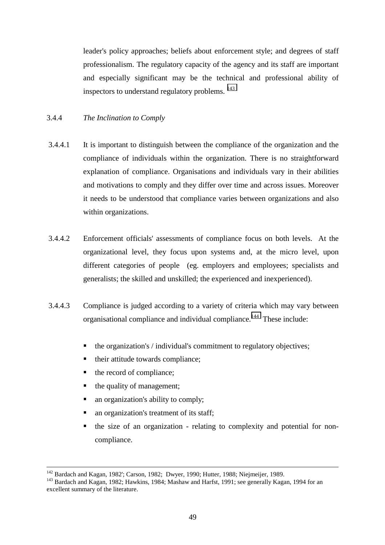leader's policy approaches; beliefs about enforcement style; and degrees of staff professionalism. The regulatory capacity of the agency and its staff are important and especially significant may be the technical and professional ability of inspectors to understand regulatory problems. <sup>143</sup>

# 3.4.4 *The Inclination to Comply*

- 3.4.4.1 It is important to distinguish between the compliance of the organization and the compliance of individuals within the organization. There is no straightforward explanation of compliance. Organisations and individuals vary in their abilities and motivations to comply and they differ over time and across issues. Moreover it needs to be understood that compliance varies between organizations and also within organizations.
- 3.4.4.2 Enforcement officials' assessments of compliance focus on both levels. At the organizational level, they focus upon systems and, at the micro level, upon different categories of people (eg. employers and employees; specialists and generalists; the skilled and unskilled; the experienced and inexperienced).
- 3.4.4.3 Compliance is judged according to a variety of criteria which may vary between organisational compliance and individual compliance.<sup>144</sup> These include:
	- the organization's / individual's commitment to regulatory objectives;
	- their attitude towards compliance;
	- the record of compliance;
	- the quality of management;
	- an organization's ability to comply;
	- an organization's treatment of its staff;
	- the size of an organization - relating to complexity and potential for noncompliance.

<sup>&</sup>lt;sup>142</sup> Bardach and Kagan, 1982'; Carson, 1982; Dwyer, 1990; Hutter, 1988; Niejmeijer, 1989.<br><sup>143</sup> Bardach and Kagan, 1982; Hawkins, 1984; Mashaw and Harfst, 1991; see generally Kagan, 1994 for an excellent summary of the literature.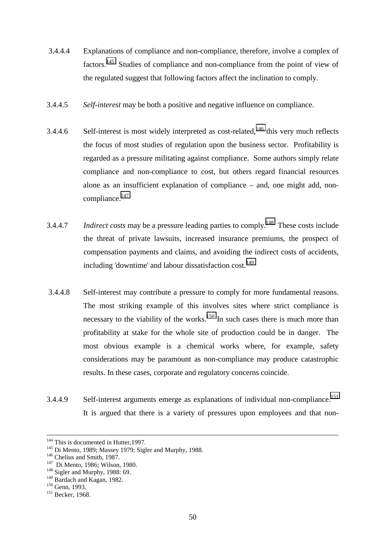- 3.4.4.4 Explanations of compliance and non-compliance, therefore, involve a complex of factors.145 Studies of compliance and non-compliance from the point of view of the regulated suggest that following factors affect the inclination to comply.
- 3.4.4.5 *Self-interest* may be both a positive and negative influence on compliance.
- 3.4.4.6 Self-interest is most widely interpreted as cost-related,  $146$  this very much reflects the focus of most studies of regulation upon the business sector. Profitability is regarded as a pressure militating against compliance. Some authors simply relate compliance and non-compliance to cost, but others regard financial resources alone as an insufficient explanation of compliance – and, one might add, non $compliance.$ <sup>147</sup>
- 3.4.4.7 *Indirect costs* may be a pressure leading parties to comply.148 These costs include the threat of private lawsuits, increased insurance premiums, the prospect of compensation payments and claims, and avoiding the indirect costs of accidents, including 'downtime' and labour dissatisfaction cost.<sup>149</sup>
- 3.4.4.8 Self-interest may contribute a pressure to comply for more fundamental reasons. The most striking example of this involves sites where strict compliance is necessary to the viability of the works.<sup>150</sup> In such cases there is much more than profitability at stake for the whole site of production could be in danger. The most obvious example is a chemical works where, for example, safety considerations may be paramount as non-compliance may produce catastrophic results. In these cases, corporate and regulatory concerns coincide.
- 3.4.4.9 Self-interest arguments emerge as explanations of individual non-compliance.<sup>151</sup> It is argued that there is a variety of pressures upon employees and that non-

<sup>&</sup>lt;sup>144</sup> This is documented in Hutter, 1997.<br><sup>145</sup> Di Mento, 1989; Massey 1979; Sigler and Murphy, 1988.<br><sup>146</sup> Chelius and Smith, 1987.<br><sup>147</sup> Di Mento, 1986; Wilson, 1980.<br><sup>148</sup> Sigler and Murphy, 1988: 69.

<sup>&</sup>lt;sup>149</sup> Bardach and Kagan, 1982.<br><sup>150</sup> Genn, 1993.<br><sup>151</sup> Becker, 1968.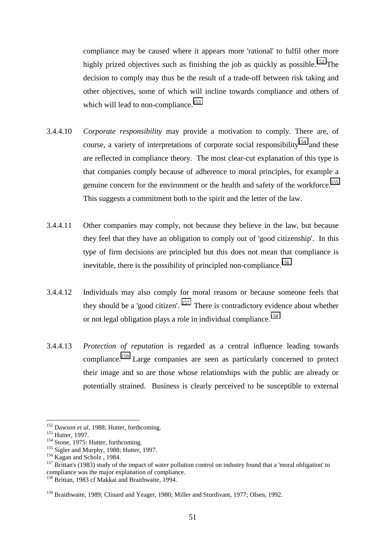compliance may be caused where it appears more 'rational' to fulfil other more highly prized objectives such as finishing the job as quickly as possible.<sup>152</sup> The decision to comply may thus be the result of a trade-off between risk taking and other objectives, some of which will incline towards compliance and others of which will lead to non-compliance.<sup>153</sup>

- 3.4.4.10 *Corporate responsibility* may provide a motivation to comply. There are, of course, a variety of interpretations of corporate social responsibility<sup>154</sup> and these are reflected in compliance theory. The most clear-cut explanation of this type is that companies comply because of adherence to moral principles, for example a genuine concern for the environment or the health and safety of the workforce.<sup>155</sup> This suggests a commitment both to the spirit and the letter of the law.
- 3.4.4.11 Other companies may comply, not because they believe in the law, but because they feel that they have an obligation to comply out of 'good citizenship'. In this type of firm decisions are principled but this does not mean that compliance is inevitable, there is the possibility of principled non-compliance.<sup>156</sup>
- 3.4.4.12 Individuals may also comply for moral reasons or because someone feels that they should be a 'good citizen'.  $157$  There is contradictory evidence about whether or not legal obligation plays a role in individual compliance.<sup>158</sup>
- 3.4.4.13 *Protection of reputation* is regarded as a central influence leading towards compliance.<sup>159</sup> Large companies are seen as particularly concerned to protect their image and so are those whose relationships with the public are already or potentially strained. Business is clearly perceived to be susceptible to external

 $152$  Dawson et al, 1988; Hutter, forthcoming.

<sup>&</sup>lt;sup>153</sup> Hutter, 1997.<br>
<sup>154</sup> Stone, 1975: Hutter, forthcoming.<br>
<sup>154</sup> Stone, 1975: Hutter, forthcoming.<br>
<sup>155</sup> Sigler and Murphy, 1988; Hutter, 1997.<br>
<sup>156</sup> Kagan and Scholz, 1984.<br>
<sup>157</sup> Brittan's (1983) study of the impact compliance was the major explanation of compliance.

<sup>&</sup>lt;sup>158</sup> Brittan, 1983 cf Makkai and Braithwaite, 1994.

<sup>159</sup> Braithwaite, 1989; Clinard and Yeager, 1980; Miller and Sturdivant, 1977; Olsen, 1992.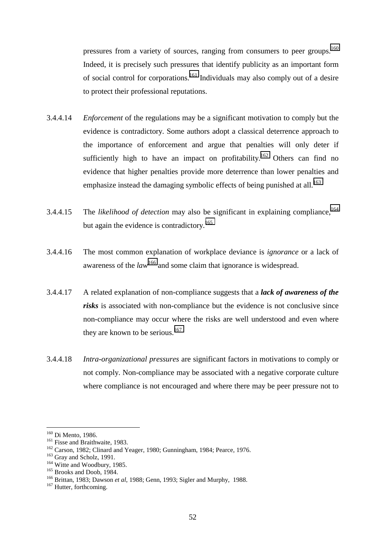pressures from a variety of sources, ranging from consumers to peer groups.<sup>160</sup> Indeed, it is precisely such pressures that identify publicity as an important form of social control for corporations.161 Individuals may also comply out of a desire to protect their professional reputations.

- 3.4.4.14 *Enforcement* of the regulations may be a significant motivation to comply but the evidence is contradictory. Some authors adopt a classical deterrence approach to the importance of enforcement and argue that penalties will only deter if sufficiently high to have an impact on profitability.<sup>162</sup> Others can find no evidence that higher penalties provide more deterrence than lower penalties and emphasize instead the damaging symbolic effects of being punished at all.<sup>163</sup>
- 3.4.4.15 The *likelihood of detection* may also be significant in explaining compliance,<sup>164</sup> but again the evidence is contradictory.<sup>165</sup>
- 3.4.4.16 The most common explanation of workplace deviance is *ignorance* or a lack of awareness of the *law*<sup>166</sup> and some claim that ignorance is widespread.
- 3.4.4.17 A related explanation of non-compliance suggests that a *lack of awareness of the risks* is associated with non-compliance but the evidence is not conclusive since non-compliance may occur where the risks are well understood and even where they are known to be serious.<sup>167</sup>
- 3.4.4.18 *Intra-organizational pressures* are significant factors in motivations to comply or not comply. Non-compliance may be associated with a negative corporate culture where compliance is not encouraged and where there may be peer pressure not to

<sup>&</sup>lt;sup>160</sup> Di Mento, 1986.

<sup>&</sup>lt;sup>161</sup> Fisse and Braithwaite, 1983.<br><sup>162</sup> Carson, 1982; Clinard and Yeager, 1980; Gunningham, 1984; Pearce, 1976.<br><sup>163</sup> Gray and Scholz, 1991.<br><sup>164</sup> Witte and Woodbury, 1985.<br><sup>165</sup> Brooks and Doob, 1984.<br><sup>166</sup> Brittan, 198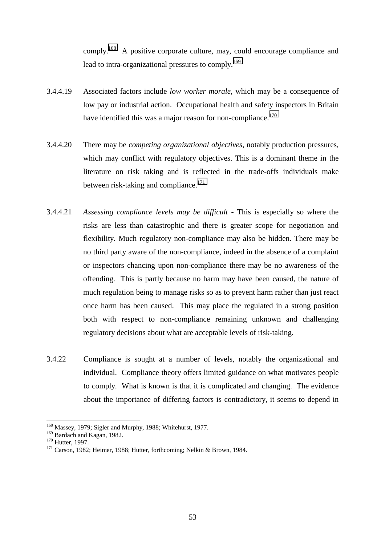comply.168 A positive corporate culture, may, could encourage compliance and lead to intra-organizational pressures to comply.<sup>169</sup>

- 3.4.4.19 Associated factors include *low worker morale*, which may be a consequence of low pay or industrial action. Occupational health and safety inspectors in Britain have identified this was a major reason for non-compliance.<sup>170</sup>
- 3.4.4.20 There may be *competing organizational objectives*, notably production pressures, which may conflict with regulatory objectives. This is a dominant theme in the literature on risk taking and is reflected in the trade-offs individuals make between risk-taking and compliance.<sup>171</sup>
- 3.4.4.21 *Assessing compliance levels may be difficult*This is especially so where the risks are less than catastrophic and there is greater scope for negotiation and flexibility. Much regulatory non-compliance may also be hidden. There may be no third party aware of the non-compliance, indeed in the absence of a complaint or inspectors chancing upon non-compliance there may be no awareness of the offending. This is partly because no harm may have been caused, the nature of much regulation being to manage risks so as to prevent harm rather than just react once harm has been caused. This may place the regulated in a strong position both with respect to non-compliance remaining unknown and challenging regulatory decisions about what are acceptable levels of risk-taking.
- 3.4.22 Compliance is sought at a number of levels, notably the organizational and individual. Compliance theory offers limited guidance on what motivates people to comply. What is known is that it is complicated and changing. The evidence about the importance of differing factors is contradictory, it seems to depend in

<sup>&</sup>lt;sup>168</sup> Massey, 1979; Sigler and Murphy, 1988; Whitehurst, 1977.

<sup>169</sup> Bardach and Kagan, 1982.<br>  $170$  Hutter, 1997.<br>
<sup>170</sup> Hutter, 1997.<br>
<sup>171</sup> Carson, 1982; Heimer, 1988; Hutter, forthcoming; Nelkin & Brown, 1984.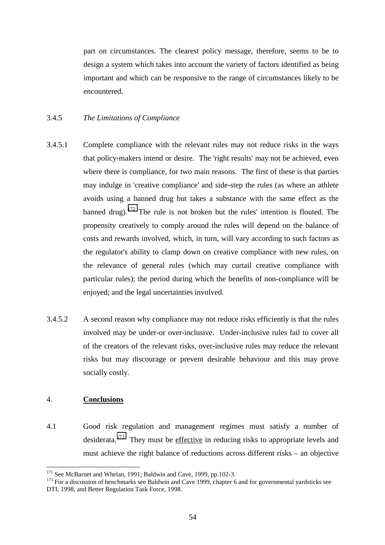part on circumstances. The clearest policy message, therefore, seems to be to design a system which takes into account the variety of factors identified as being important and which can be responsive to the range of circumstances likely to be encountered.

# 3.4.5 *The Limitations of Compliance*

- 3.4.5.1 Complete compliance with the relevant rules may not reduce risks in the ways that policy-makers intend or desire. The 'right results' may not be achieved, even where there is compliance, for two main reasons. The first of these is that parties may indulge in 'creative compliance' and side-step the rules (as where an athlete avoids using a banned drug but takes a substance with the same effect as the banned drug).<sup>172</sup> The rule is not broken but the rules' intention is flouted. The propensity creatively to comply around the rules will depend on the balance of costs and rewards involved, which, in turn, will vary according to such factors as the regulator's ability to clamp down on creative compliance with new rules, on the relevance of general rules (which may curtail creative compliance with particular rules); the period during which the benefits of non-compliance will be enjoyed; and the legal uncertainties involved.
- 3.4.5.2 A second reason why compliance may not reduce risks efficiently is that the rules involved may be under-or over-inclusive. Under-inclusive rules fail to cover all of the creators of the relevant risks, over-inclusive rules may reduce the relevant risks but may discourage or prevent desirable behaviour and this may prove socially costly.

#### 4. **Conclusions**

4.1 Good risk regulation and management regimes must satisfy a number of desiderata.173 They must be effective in reducing risks to appropriate levels and must achieve the right balance of reductions across different risks – an objective

<sup>&</sup>lt;sup>172</sup> See McBarnet and Whelan, 1991; Baldwin and Cave, 1999, pp.102-3.

 $173$  For a discussion of benchmarks see Baldwin and Cave 1999, chapter 6 and for governmental yardsticks see DTI, 1998, and Better Regulation Task Force, 1998.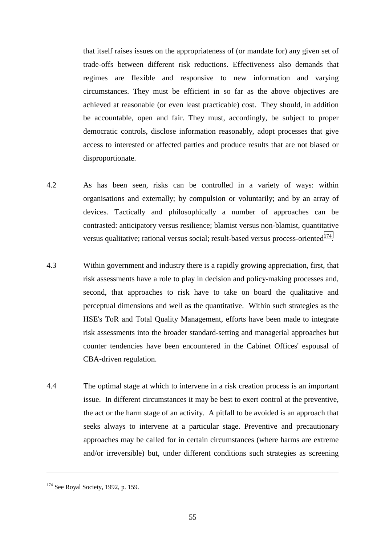that itself raises issues on the appropriateness of (or mandate for) any given set of trade-offs between different risk reductions. Effectiveness also demands that regimes are flexible and responsive to new information and varying circumstances. They must be efficient in so far as the above objectives are achieved at reasonable (or even least practicable) cost. They should, in addition be accountable, open and fair. They must, accordingly, be subject to proper democratic controls, disclose information reasonably, adopt processes that give access to interested or affected parties and produce results that are not biased or disproportionate.

- 4.2 As has been seen, risks can be controlled in a variety of ways: within organisations and externally; by compulsion or voluntarily; and by an array of devices. Tactically and philosophically a number of approaches can be contrasted: anticipatory versus resilience; blamist versus non-blamist, quantitative versus qualitative; rational versus social; result-based versus process-oriented $174$ .
- 4.3 Within government and industry there is a rapidly growing appreciation, first, that risk assessments have a role to play in decision and policy-making processes and, second, that approaches to risk have to take on board the qualitative and perceptual dimensions and well as the quantitative. Within such strategies as the HSE's ToR and Total Quality Management, efforts have been made to integrate risk assessments into the broader standard-setting and managerial approaches but counter tendencies have been encountered in the Cabinet Offices' espousal of CBA-driven regulation.
- 4.4 The optimal stage at which to intervene in a risk creation process is an important issue. In different circumstances it may be best to exert control at the preventive, the act or the harm stage of an activity. A pitfall to be avoided is an approach that seeks always to intervene at a particular stage. Preventive and precautionary approaches may be called for in certain circumstances (where harms are extreme and/or irreversible) but, under different conditions such strategies as screening

<sup>&</sup>lt;sup>174</sup> See Royal Society, 1992, p. 159.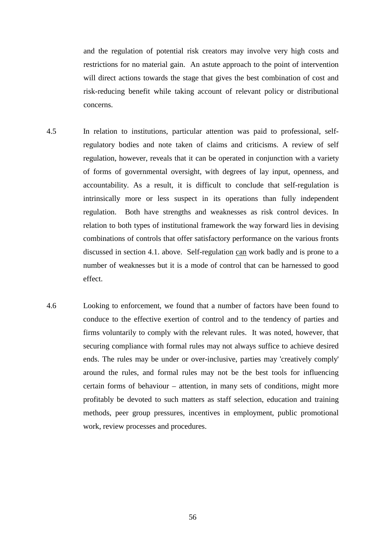and the regulation of potential risk creators may involve very high costs and restrictions for no material gain. An astute approach to the point of intervention will direct actions towards the stage that gives the best combination of cost and risk-reducing benefit while taking account of relevant policy or distributional concerns.

- 4.5 In relation to institutions, particular attention was paid to professional, selfregulatory bodies and note taken of claims and criticisms. A review of self regulation, however, reveals that it can be operated in conjunction with a variety of forms of governmental oversight, with degrees of lay input, openness, and accountability. As a result, it is difficult to conclude that self-regulation is intrinsically more or less suspect in its operations than fully independent regulation. Both have strengths and weaknesses as risk control devices. In relation to both types of institutional framework the way forward lies in devising combinations of controls that offer satisfactory performance on the various fronts discussed in section 4.1. above. Self-regulation can work badly and is prone to a number of weaknesses but it is a mode of control that can be harnessed to good effect.
- 4.6 Looking to enforcement, we found that a number of factors have been found to conduce to the effective exertion of control and to the tendency of parties and firms voluntarily to comply with the relevant rules. It was noted, however, that securing compliance with formal rules may not always suffice to achieve desired ends. The rules may be under or over-inclusive, parties may 'creatively comply' around the rules, and formal rules may not be the best tools for influencing certain forms of behaviour – attention, in many sets of conditions, might more profitably be devoted to such matters as staff selection, education and training methods, peer group pressures, incentives in employment, public promotional work, review processes and procedures.

56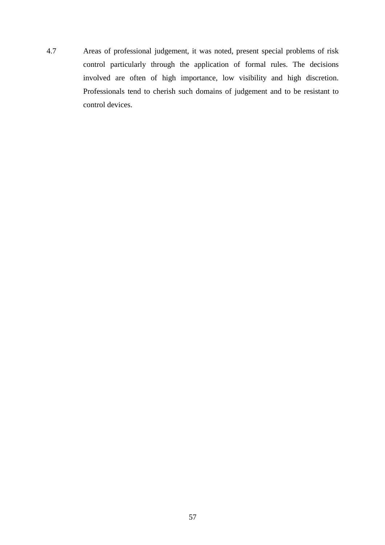4.7 Areas of professional judgement, it was noted, present special problems of risk control particularly through the application of formal rules. The decisions involved are often of high importance, low visibility and high discretion. Professionals tend to cherish such domains of judgement and to be resistant to control devices.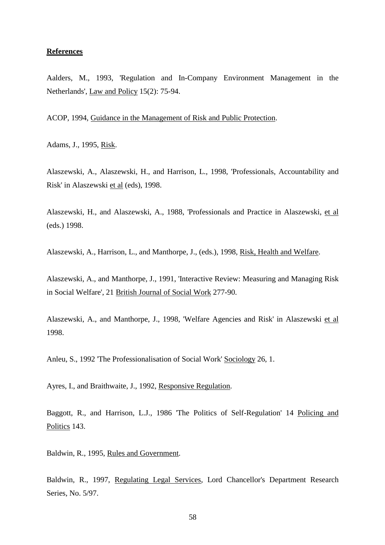#### **References**

Aalders, M., 1993, 'Regulation and In-Company Environment Management in the Netherlands', Law and Policy 15(2): 75-94.

ACOP, 1994, Guidance in the Management of Risk and Public Protection.

Adams, J., 1995, Risk.

Alaszewski, A., Alaszewski, H., and Harrison, L., 1998, 'Professionals, Accountability and Risk' in Alaszewski et al (eds), 1998.

Alaszewski, H., and Alaszewski, A., 1988, 'Professionals and Practice in Alaszewski, et al (eds.) 1998.

Alaszewski, A., Harrison, L., and Manthorpe, J., (eds.), 1998, Risk, Health and Welfare.

Alaszewski, A., and Manthorpe, J., 1991, 'Interactive Review: Measuring and Managing Risk in Social Welfare', 21 British Journal of Social Work 277-90.

Alaszewski, A., and Manthorpe, J., 1998, 'Welfare Agencies and Risk' in Alaszewski et al 1998.

Anleu, S., 1992 'The Professionalisation of Social Work' Sociology 26, 1.

Ayres, I., and Braithwaite, J., 1992, Responsive Regulation.

Baggott, R., and Harrison, L.J., 1986 'The Politics of Self-Regulation' 14 Policing and Politics 143.

Baldwin, R., 1995, Rules and Government.

Baldwin, R., 1997, Regulating Legal Services, Lord Chancellor's Department Research Series, No. 5/97.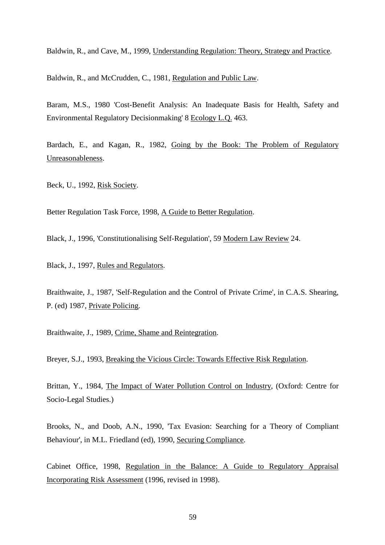Baldwin, R., and Cave, M., 1999, Understanding Regulation: Theory, Strategy and Practice.

Baldwin, R., and McCrudden, C., 1981, Regulation and Public Law.

Baram, M.S., 1980 'Cost-Benefit Analysis: An Inadequate Basis for Health, Safety and Environmental Regulatory Decisionmaking' 8 Ecology L.Q. 463.

Bardach, E., and Kagan, R., 1982, Going by the Book: The Problem of Regulatory Unreasonableness.

Beck, U., 1992, Risk Society.

Better Regulation Task Force, 1998, A Guide to Better Regulation.

Black, J., 1996, 'Constitutionalising Self-Regulation', 59 Modern Law Review 24.

Black, J., 1997, Rules and Regulators.

Braithwaite, J., 1987, 'Self-Regulation and the Control of Private Crime', in C.A.S. Shearing, P. (ed) 1987, Private Policing.

Braithwaite, J., 1989, Crime, Shame and Reintegration.

Breyer, S.J., 1993, Breaking the Vicious Circle: Towards Effective Risk Regulation.

Brittan, Y., 1984, The Impact of Water Pollution Control on Industry, (Oxford: Centre for Socio-Legal Studies.)

Brooks, N., and Doob, A.N., 1990, 'Tax Evasion: Searching for a Theory of Compliant Behaviour', in M.L. Friedland (ed), 1990, Securing Compliance.

Cabinet Office, 1998, Regulation in the Balance: A Guide to Regulatory Appraisal Incorporating Risk Assessment (1996, revised in 1998).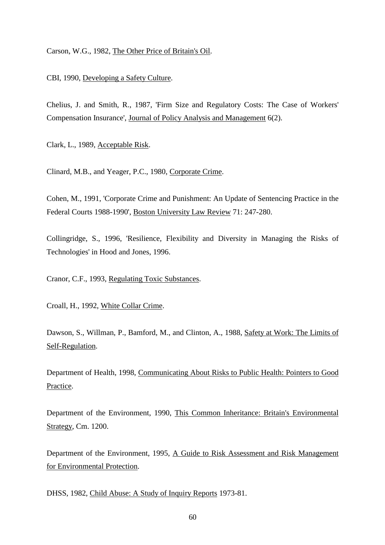Carson, W.G., 1982, The Other Price of Britain's Oil.

CBI, 1990, Developing a Safety Culture.

Chelius, J. and Smith, R., 1987, 'Firm Size and Regulatory Costs: The Case of Workers' Compensation Insurance', Journal of Policy Analysis and Management 6(2).

Clark, L., 1989, Acceptable Risk.

Clinard, M.B., and Yeager, P.C., 1980, Corporate Crime.

Cohen, M., 1991, 'Corporate Crime and Punishment: An Update of Sentencing Practice in the Federal Courts 1988-1990', Boston University Law Review 71: 247-280.

Collingridge, S., 1996, 'Resilience, Flexibility and Diversity in Managing the Risks of Technologies' in Hood and Jones, 1996.

Cranor, C.F., 1993, Regulating Toxic Substances.

Croall, H., 1992, White Collar Crime.

Dawson, S., Willman, P., Bamford, M., and Clinton, A., 1988, Safety at Work: The Limits of Self-Regulation.

Department of Health, 1998, Communicating About Risks to Public Health: Pointers to Good Practice.

Department of the Environment, 1990, This Common Inheritance: Britain's Environmental Strategy, Cm. 1200.

Department of the Environment, 1995, A Guide to Risk Assessment and Risk Management for Environmental Protection.

DHSS, 1982, Child Abuse: A Study of Inquiry Reports 1973-81.

60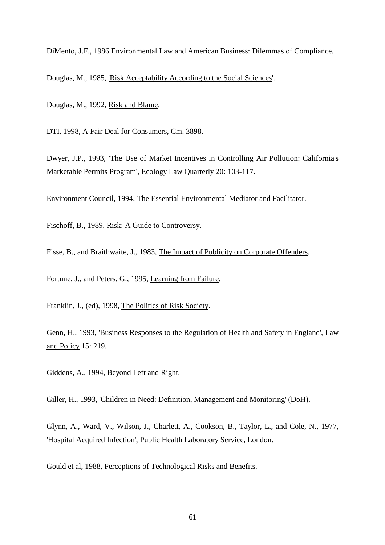DiMento, J.F., 1986 Environmental Law and American Business: Dilemmas of Compliance.

Douglas, M., 1985, 'Risk Acceptability According to the Social Sciences'.

Douglas, M., 1992, Risk and Blame.

DTI, 1998, A Fair Deal for Consumers, Cm. 3898.

Dwyer, J.P., 1993, 'The Use of Market Incentives in Controlling Air Pollution: California's Marketable Permits Program', Ecology Law Quarterly 20: 103-117.

Environment Council, 1994, The Essential Environmental Mediator and Facilitator.

Fischoff, B., 1989, Risk: A Guide to Controversy.

Fisse, B., and Braithwaite, J., 1983, The Impact of Publicity on Corporate Offenders.

Fortune, J., and Peters, G., 1995, Learning from Failure.

Franklin, J., (ed), 1998, The Politics of Risk Society.

Genn, H., 1993, 'Business Responses to the Regulation of Health and Safety in England', Law and Policy 15: 219.

Giddens, A., 1994, Beyond Left and Right.

Giller, H., 1993, 'Children in Need: Definition, Management and Monitoring' (DoH).

Glynn, A., Ward, V., Wilson, J., Charlett, A., Cookson, B., Taylor, L., and Cole, N., 1977, 'Hospital Acquired Infection', Public Health Laboratory Service, London.

Gould et al, 1988, Perceptions of Technological Risks and Benefits.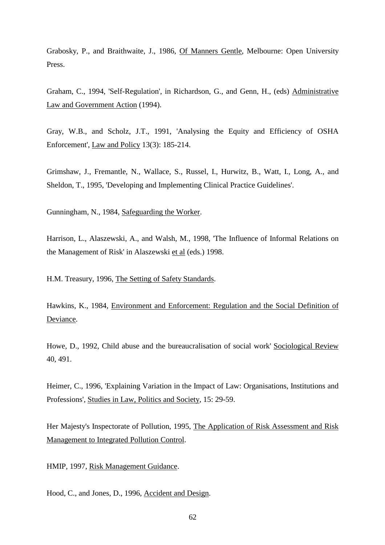Grabosky, P., and Braithwaite, J., 1986, Of Manners Gentle, Melbourne: Open University Press.

Graham, C., 1994, 'Self-Regulation', in Richardson, G., and Genn, H., (eds) Administrative Law and Government Action (1994).

Gray, W.B., and Scholz, J.T., 1991, 'Analysing the Equity and Efficiency of OSHA Enforcement', Law and Policy 13(3): 185-214.

Grimshaw, J., Fremantle, N., Wallace, S., Russel, I., Hurwitz, B., Watt, I., Long, A., and Sheldon, T., 1995, 'Developing and Implementing Clinical Practice Guidelines'.

Gunningham, N., 1984, Safeguarding the Worker.

Harrison, L., Alaszewski, A., and Walsh, M., 1998, 'The Influence of Informal Relations on the Management of Risk' in Alaszewski et al (eds.) 1998.

H.M. Treasury, 1996, The Setting of Safety Standards.

Hawkins, K., 1984, Environment and Enforcement: Regulation and the Social Definition of Deviance.

Howe, D., 1992, Child abuse and the bureaucralisation of social work' Sociological Review 40, 491.

Heimer, C., 1996, 'Explaining Variation in the Impact of Law: Organisations, Institutions and Professions', Studies in Law, Politics and Society, 15: 29-59.

Her Majesty's Inspectorate of Pollution, 1995, The Application of Risk Assessment and Risk Management to Integrated Pollution Control.

HMIP, 1997, Risk Management Guidance.

Hood, C., and Jones, D., 1996, Accident and Design.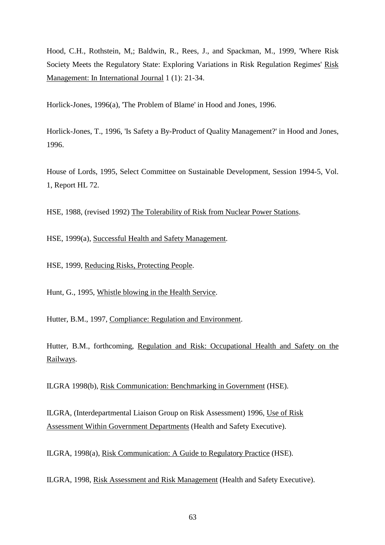Hood, C.H., Rothstein, M,; Baldwin, R., Rees, J., and Spackman, M., 1999, 'Where Risk Society Meets the Regulatory State: Exploring Variations in Risk Regulation Regimes' Risk Management: In International Journal 1 (1): 21-34.

Horlick-Jones, 1996(a), 'The Problem of Blame' in Hood and Jones, 1996.

Horlick-Jones, T., 1996, 'Is Safety a By-Product of Quality Management?' in Hood and Jones, 1996.

House of Lords, 1995, Select Committee on Sustainable Development, Session 1994-5, Vol. 1, Report HL 72.

HSE, 1988, (revised 1992) The Tolerability of Risk from Nuclear Power Stations.

HSE, 1999(a), Successful Health and Safety Management.

HSE, 1999, Reducing Risks, Protecting People.

Hunt, G., 1995, Whistle blowing in the Health Service.

Hutter, B.M., 1997, Compliance: Regulation and Environment.

Hutter, B.M., forthcoming, Regulation and Risk: Occupational Health and Safety on the Railways.

ILGRA 1998(b), Risk Communication: Benchmarking in Government (HSE).

ILGRA, (Interdepartmental Liaison Group on Risk Assessment) 1996, Use of Risk Assessment Within Government Departments (Health and Safety Executive).

ILGRA, 1998(a), Risk Communication: A Guide to Regulatory Practice (HSE).

ILGRA, 1998, Risk Assessment and Risk Management (Health and Safety Executive).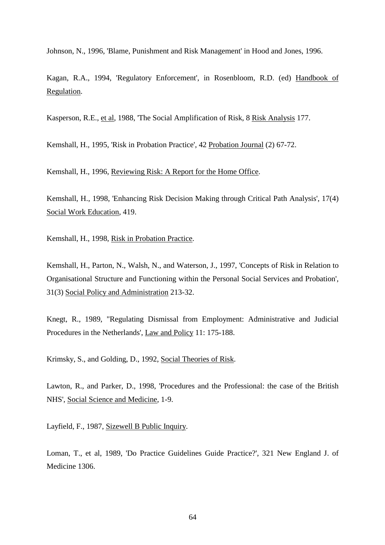Johnson, N., 1996, 'Blame, Punishment and Risk Management' in Hood and Jones, 1996.

Kagan, R.A., 1994, 'Regulatory Enforcement', in Rosenbloom, R.D. (ed) Handbook of Regulation.

Kasperson, R.E., et al, 1988, 'The Social Amplification of Risk, 8 Risk Analysis 177.

Kemshall, H., 1995, 'Risk in Probation Practice', 42 Probation Journal (2) 67-72.

Kemshall, H., 1996, Reviewing Risk: A Report for the Home Office.

Kemshall, H., 1998, 'Enhancing Risk Decision Making through Critical Path Analysis', 17(4) Social Work Education, 419.

Kemshall, H., 1998, Risk in Probation Practice.

Kemshall, H., Parton, N., Walsh, N., and Waterson, J., 1997, 'Concepts of Risk in Relation to Organisational Structure and Functioning within the Personal Social Services and Probation', 31(3) Social Policy and Administration 213-32.

Knegt, R., 1989, "Regulating Dismissal from Employment: Administrative and Judicial Procedures in the Netherlands', Law and Policy 11: 175-188.

Krimsky, S., and Golding, D., 1992, Social Theories of Risk.

Lawton, R., and Parker, D., 1998, 'Procedures and the Professional: the case of the British NHS', Social Science and Medicine, 1-9.

Layfield, F., 1987, Sizewell B Public Inquiry.

Loman, T., et al, 1989, 'Do Practice Guidelines Guide Practice?', 321 New England J. of Medicine 1306.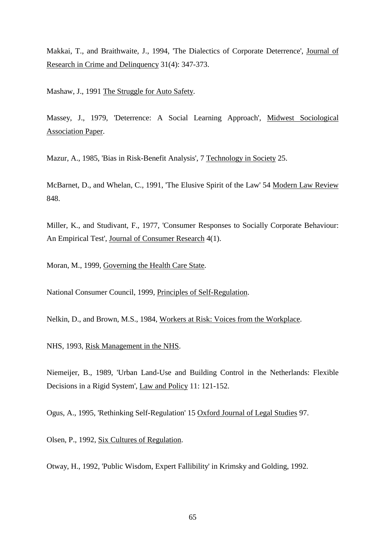Makkai, T., and Braithwaite, J., 1994, 'The Dialectics of Corporate Deterrence', Journal of Research in Crime and Delinquency 31(4): 347-373.

Mashaw, J., 1991 The Struggle for Auto Safety.

Massey, J., 1979, 'Deterrence: A Social Learning Approach', Midwest Sociological Association Paper.

Mazur, A., 1985, 'Bias in Risk-Benefit Analysis', 7 Technology in Society 25.

McBarnet, D., and Whelan, C., 1991, 'The Elusive Spirit of the Law' 54 Modern Law Review 848.

Miller, K., and Studivant, F., 1977, 'Consumer Responses to Socially Corporate Behaviour: An Empirical Test', Journal of Consumer Research 4(1).

Moran, M., 1999, Governing the Health Care State.

National Consumer Council, 1999, Principles of Self-Regulation.

Nelkin, D., and Brown, M.S., 1984, Workers at Risk: Voices from the Workplace.

NHS, 1993, Risk Management in the NHS.

Niemeijer, B., 1989, 'Urban Land-Use and Building Control in the Netherlands: Flexible Decisions in a Rigid System', Law and Policy 11: 121-152.

Ogus, A., 1995, 'Rethinking Self-Regulation' 15 Oxford Journal of Legal Studies 97.

Olsen, P., 1992, Six Cultures of Regulation.

Otway, H., 1992, 'Public Wisdom, Expert Fallibility' in Krimsky and Golding, 1992.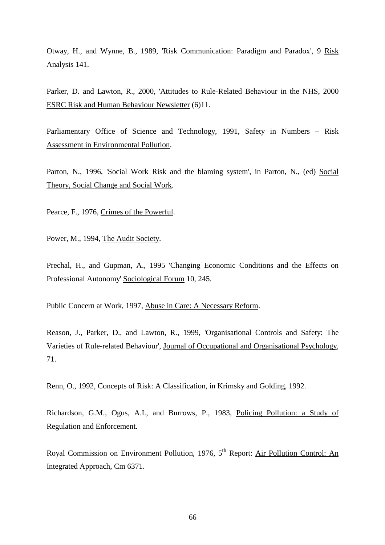Otway, H., and Wynne, B., 1989, 'Risk Communication: Paradigm and Paradox', 9 Risk Analysis 141.

Parker, D. and Lawton, R., 2000, 'Attitudes to Rule-Related Behaviour in the NHS, 2000 ESRC Risk and Human Behaviour Newsletter (6)11.

Parliamentary Office of Science and Technology, 1991, Safety in Numbers – Risk Assessment in Environmental Pollution.

Parton, N., 1996, 'Social Work Risk and the blaming system', in Parton, N., (ed) Social Theory, Social Change and Social Work.

Pearce, F., 1976, Crimes of the Powerful.

Power, M., 1994, The Audit Society.

Prechal, H., and Gupman, A., 1995 'Changing Economic Conditions and the Effects on Professional Autonomy' Sociological Forum 10, 245.

Public Concern at Work, 1997, Abuse in Care: A Necessary Reform.

Reason, J., Parker, D., and Lawton, R., 1999, 'Organisational Controls and Safety: The Varieties of Rule-related Behaviour', Journal of Occupational and Organisational Psychology, 71.

Renn, O., 1992, Concepts of Risk: A Classification, in Krimsky and Golding, 1992.

Richardson, G.M., Ogus, A.I., and Burrows, P., 1983, Policing Pollution: a Study of Regulation and Enforcement.

Royal Commission on Environment Pollution, 1976, 5<sup>th</sup> Report: Air Pollution Control: An Integrated Approach, Cm 6371.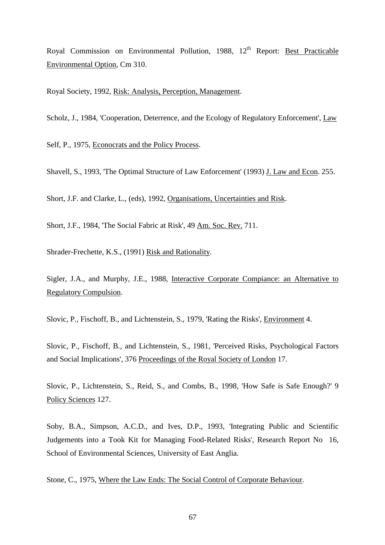Royal Commission on Environmental Pollution, 1988, 12<sup>th</sup> Report: Best Practicable Environmental Option, Cm 310.

Royal Society, 1992, Risk: Analysis, Perception, Management.

Scholz, J., 1984, 'Cooperation, Deterrence, and the Ecology of Regulatory Enforcement', Law

Self, P., 1975, Econocrats and the Policy Process.

Shavell, S., 1993, 'The Optimal Structure of Law Enforcement' (1993) J. Law and Econ. 255.

Short, J.F. and Clarke, L., (eds), 1992, Organisations, Uncertainties and Risk.

Short, J.F., 1984, 'The Social Fabric at Risk', 49 Am. Soc. Rev. 711.

Shrader-Frechette, K.S., (1991) Risk and Rationality.

Sigler, J.A., and Murphy, J.E., 1988, Interactive Corporate Compiance: an Alternative to Regulatory Compulsion.

Slovic, P., Fischoff, B., and Lichtenstein, S., 1979, 'Rating the Risks', Environment 4.

Slovic, P., Fischoff, B., and Lichtenstein, S., 1981, 'Perceived Risks, Psychological Factors and Social Implications', 376 Proceedings of the Royal Society of London 17.

Slovic, P., Lichtenstein, S., Reid, S., and Combs, B., 1998, 'How Safe is Safe Enough?' 9 Policy Sciences 127.

Soby, B.A., Simpson, A.C.D., and Ives, D.P., 1993, 'Integrating Public and Scientific Judgements into a Took Kit for Managing Food-Related Risks', Research Report No 16, School of Environmental Sciences, University of East Anglia.

Stone, C., 1975, Where the Law Ends: The Social Control of Corporate Behaviour.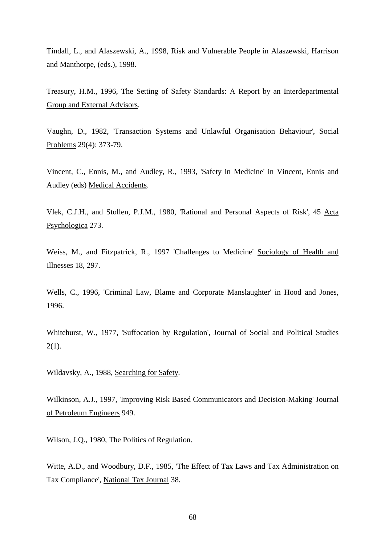Tindall, L., and Alaszewski, A., 1998, Risk and Vulnerable People in Alaszewski, Harrison and Manthorpe, (eds.), 1998.

Treasury, H.M., 1996, The Setting of Safety Standards: A Report by an Interdepartmental Group and External Advisors.

Vaughn, D., 1982, 'Transaction Systems and Unlawful Organisation Behaviour', Social Problems 29(4): 373-79.

Vincent, C., Ennis, M., and Audley, R., 1993, 'Safety in Medicine' in Vincent, Ennis and Audley (eds) Medical Accidents.

Vlek, C.J.H., and Stollen, P.J.M., 1980, 'Rational and Personal Aspects of Risk', 45 Acta Psychologica 273.

Weiss, M., and Fitzpatrick, R., 1997 'Challenges to Medicine' Sociology of Health and Illnesses 18, 297.

Wells, C., 1996, 'Criminal Law, Blame and Corporate Manslaughter' in Hood and Jones, 1996.

Whitehurst, W., 1977, 'Suffocation by Regulation', Journal of Social and Political Studies  $2(1)$ .

Wildavsky, A., 1988, Searching for Safety.

Wilkinson, A.J., 1997, 'Improving Risk Based Communicators and Decision-Making' Journal of Petroleum Engineers 949.

Wilson, J.Q., 1980, The Politics of Regulation.

Witte, A.D., and Woodbury, D.F., 1985, 'The Effect of Tax Laws and Tax Administration on Tax Compliance', National Tax Journal 38.